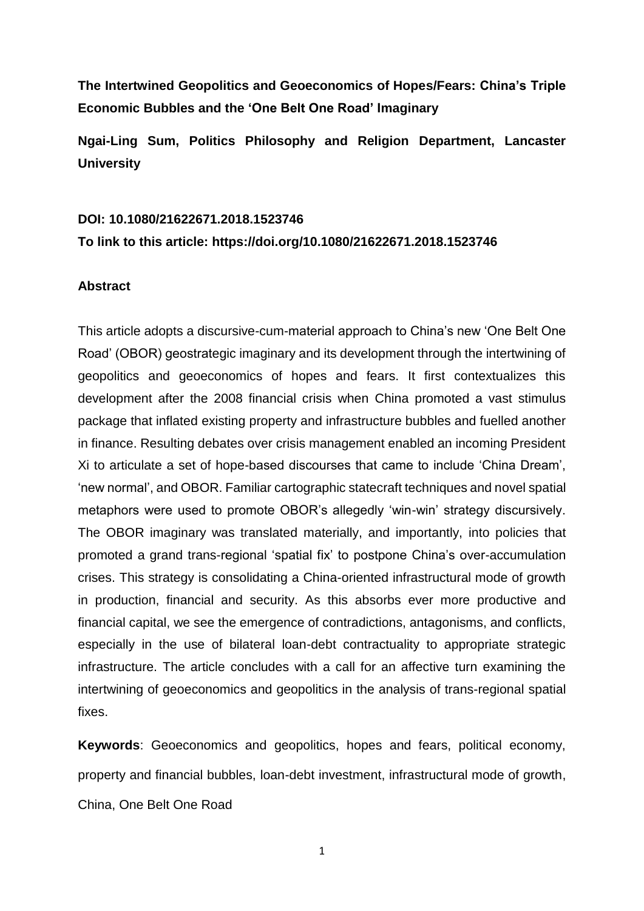**The Intertwined Geopolitics and Geoeconomics of Hopes/Fears: China's Triple Economic Bubbles and the 'One Belt One Road' Imaginary**

**Ngai-Ling Sum, Politics Philosophy and Religion Department, Lancaster University**

# **DOI: 10.1080/21622671.2018.1523746 To link to this article: https://doi.org/10.1080/21622671.2018.1523746**

# **Abstract**

This article adopts a discursive-cum-material approach to China's new 'One Belt One Road' (OBOR) geostrategic imaginary and its development through the intertwining of geopolitics and geoeconomics of hopes and fears. It first contextualizes this development after the 2008 financial crisis when China promoted a vast stimulus package that inflated existing property and infrastructure bubbles and fuelled another in finance. Resulting debates over crisis management enabled an incoming President Xi to articulate a set of hope-based discourses that came to include 'China Dream', 'new normal', and OBOR. Familiar cartographic statecraft techniques and novel spatial metaphors were used to promote OBOR's allegedly 'win-win' strategy discursively. The OBOR imaginary was translated materially, and importantly, into policies that promoted a grand trans-regional 'spatial fix' to postpone China's over-accumulation crises. This strategy is consolidating a China-oriented infrastructural mode of growth in production, financial and security. As this absorbs ever more productive and financial capital, we see the emergence of contradictions, antagonisms, and conflicts, especially in the use of bilateral loan-debt contractuality to appropriate strategic infrastructure. The article concludes with a call for an affective turn examining the intertwining of geoeconomics and geopolitics in the analysis of trans-regional spatial fixes.

**Keywords**: Geoeconomics and geopolitics, hopes and fears, political economy, property and financial bubbles, loan-debt investment, infrastructural mode of growth, China, One Belt One Road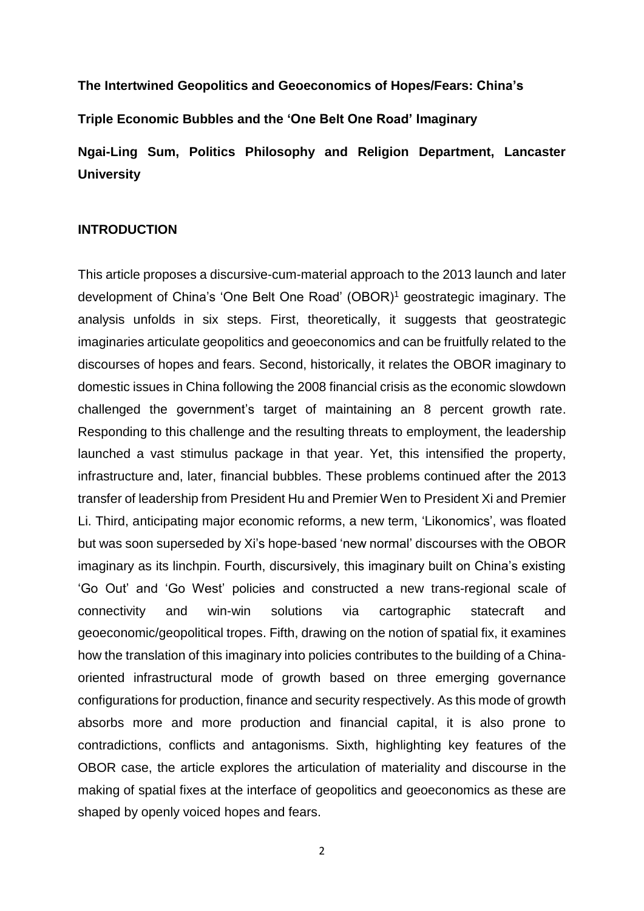**The Intertwined Geopolitics and Geoeconomics of Hopes/Fears: China's** 

**Triple Economic Bubbles and the 'One Belt One Road' Imaginary**

**Ngai-Ling Sum, Politics Philosophy and Religion Department, Lancaster University**

#### **INTRODUCTION**

This article proposes a discursive-cum-material approach to the 2013 launch and later development of China's 'One Belt One Road' (OBOR)<sup>1</sup> geostrategic imaginary. The analysis unfolds in six steps. First, theoretically, it suggests that geostrategic imaginaries articulate geopolitics and geoeconomics and can be fruitfully related to the discourses of hopes and fears. Second, historically, it relates the OBOR imaginary to domestic issues in China following the 2008 financial crisis as the economic slowdown challenged the government's target of maintaining an 8 percent growth rate. Responding to this challenge and the resulting threats to employment, the leadership launched a vast stimulus package in that year. Yet, this intensified the property, infrastructure and, later, financial bubbles. These problems continued after the 2013 transfer of leadership from President Hu and Premier Wen to President Xi and Premier Li. Third, anticipating major economic reforms, a new term, 'Likonomics', was floated but was soon superseded by Xi's hope-based 'new normal' discourses with the OBOR imaginary as its linchpin. Fourth, discursively, this imaginary built on China's existing 'Go Out' and 'Go West' policies and constructed a new trans-regional scale of connectivity and win-win solutions via cartographic statecraft and geoeconomic/geopolitical tropes. Fifth, drawing on the notion of spatial fix, it examines how the translation of this imaginary into policies contributes to the building of a Chinaoriented infrastructural mode of growth based on three emerging governance configurations for production, finance and security respectively. As this mode of growth absorbs more and more production and financial capital, it is also prone to contradictions, conflicts and antagonisms. Sixth, highlighting key features of the OBOR case, the article explores the articulation of materiality and discourse in the making of spatial fixes at the interface of geopolitics and geoeconomics as these are shaped by openly voiced hopes and fears.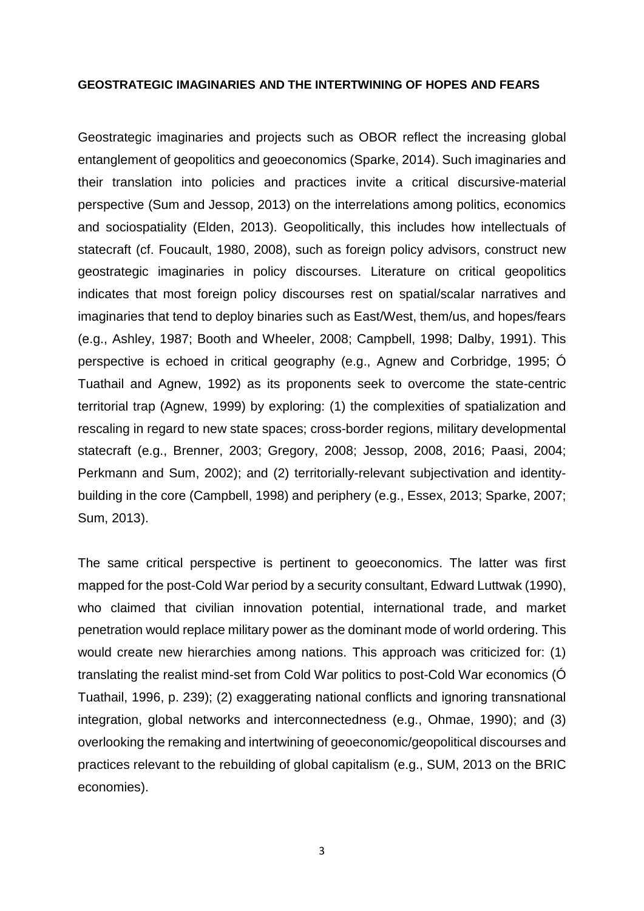#### **GEOSTRATEGIC IMAGINARIES AND THE INTERTWINING OF HOPES AND FEARS**

Geostrategic imaginaries and projects such as OBOR reflect the increasing global entanglement of geopolitics and geoeconomics (Sparke, 2014). Such imaginaries and their translation into policies and practices invite a critical discursive-material perspective (Sum and Jessop, 2013) on the interrelations among politics, economics and sociospatiality (Elden, 2013). Geopolitically, this includes how intellectuals of statecraft (cf. Foucault, 1980, 2008), such as foreign policy advisors, construct new geostrategic imaginaries in policy discourses. Literature on critical geopolitics indicates that most foreign policy discourses rest on spatial/scalar narratives and imaginaries that tend to deploy binaries such as East/West, them/us, and hopes/fears (e.g., Ashley, 1987; Booth and Wheeler, 2008; Campbell, 1998; Dalby, 1991). This perspective is echoed in critical geography (e.g., Agnew and Corbridge, 1995; Ó Tuathail and Agnew, 1992) as its proponents seek to overcome the state-centric territorial trap (Agnew, 1999) by exploring: (1) the complexities of spatialization and rescaling in regard to new state spaces; cross-border regions, military developmental statecraft (e.g., Brenner, 2003; Gregory, 2008; Jessop, 2008, 2016; Paasi, 2004; Perkmann and Sum, 2002); and (2) territorially-relevant subjectivation and identitybuilding in the core (Campbell, 1998) and periphery (e.g., Essex, 2013; Sparke, 2007; Sum, 2013).

The same critical perspective is pertinent to geoeconomics. The latter was first mapped for the post-Cold War period by a security consultant, Edward Luttwak (1990), who claimed that civilian innovation potential, international trade, and market penetration would replace military power as the dominant mode of world ordering. This would create new hierarchies among nations. This approach was criticized for: (1) translating the realist mind-set from Cold War politics to post-Cold War economics (Ó Tuathail, 1996, p. 239); (2) exaggerating national conflicts and ignoring transnational integration, global networks and interconnectedness (e.g., Ohmae, 1990); and (3) overlooking the remaking and intertwining of geoeconomic/geopolitical discourses and practices relevant to the rebuilding of global capitalism (e.g., SUM, 2013 on the BRIC economies).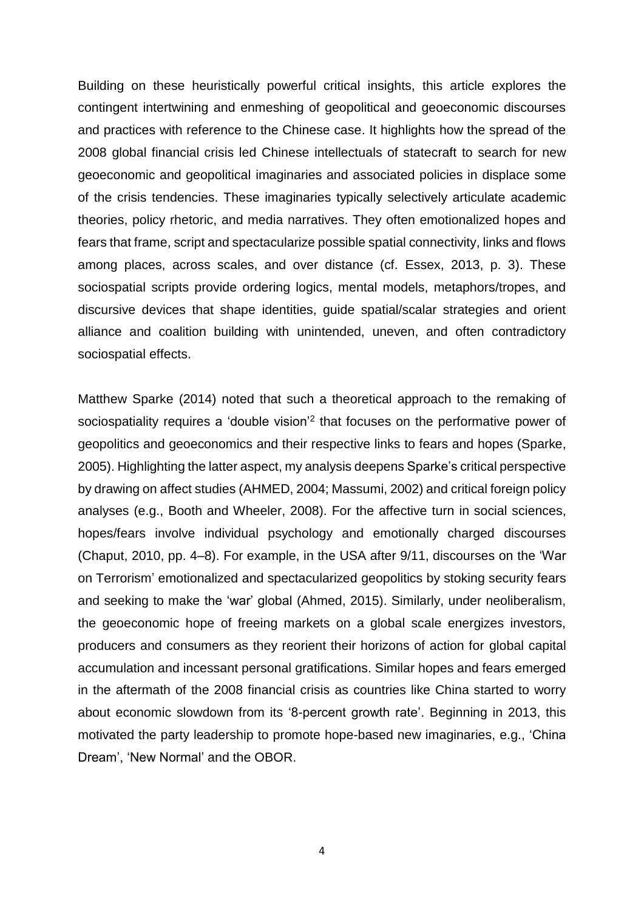Building on these heuristically powerful critical insights, this article explores the contingent intertwining and enmeshing of geopolitical and geoeconomic discourses and practices with reference to the Chinese case. It highlights how the spread of the 2008 global financial crisis led Chinese intellectuals of statecraft to search for new geoeconomic and geopolitical imaginaries and associated policies in displace some of the crisis tendencies. These imaginaries typically selectively articulate academic theories, policy rhetoric, and media narratives. They often emotionalized hopes and fears that frame, script and spectacularize possible spatial connectivity, links and flows among places, across scales, and over distance (cf. Essex, 2013, p. 3). These sociospatial scripts provide ordering logics, mental models, metaphors/tropes, and discursive devices that shape identities, guide spatial/scalar strategies and orient alliance and coalition building with unintended, uneven, and often contradictory sociospatial effects.

Matthew Sparke (2014) noted that such a theoretical approach to the remaking of sociospatiality requires a 'double vision'<sup>2</sup> that focuses on the performative power of geopolitics and geoeconomics and their respective links to fears and hopes (Sparke, 2005). Highlighting the latter aspect, my analysis deepens Sparke's critical perspective by drawing on affect studies (AHMED, 2004; Massumi, 2002) and critical foreign policy analyses (e.g., Booth and Wheeler, 2008). For the affective turn in social sciences, hopes/fears involve individual psychology and emotionally charged discourses (Chaput, 2010, pp. 4–8). For example, in the USA after 9/11, discourses on the 'War on Terrorism' emotionalized and spectacularized geopolitics by stoking security fears and seeking to make the 'war' global (Ahmed, 2015). Similarly, under neoliberalism, the geoeconomic hope of freeing markets on a global scale energizes investors, producers and consumers as they reorient their horizons of action for global capital accumulation and incessant personal gratifications. Similar hopes and fears emerged in the aftermath of the 2008 financial crisis as countries like China started to worry about economic slowdown from its '8-percent growth rate'. Beginning in 2013, this motivated the party leadership to promote hope-based new imaginaries, e.g., 'China Dream', 'New Normal' and the OBOR.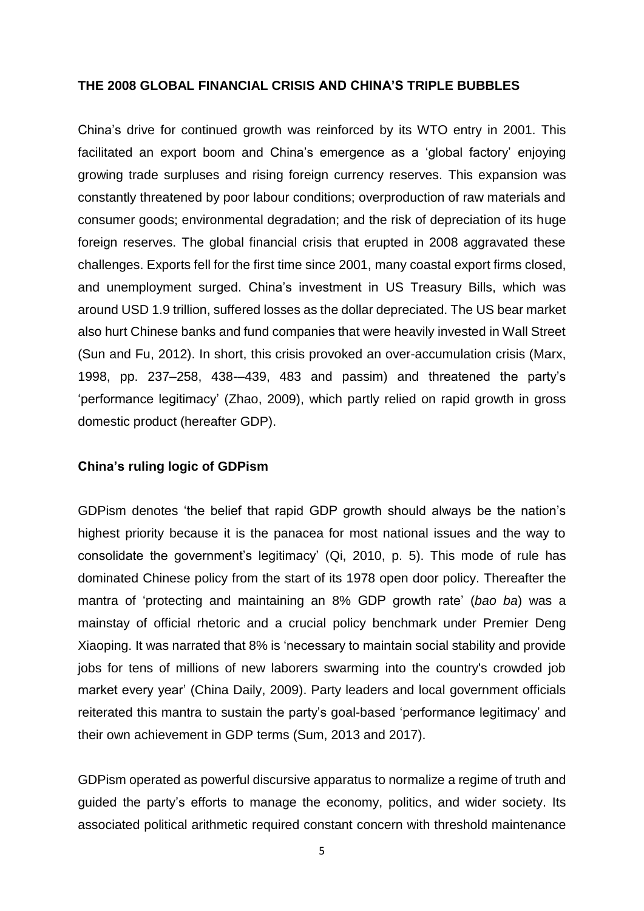#### **THE 2008 GLOBAL FINANCIAL CRISIS AND CHINA'S TRIPLE BUBBLES**

China's drive for continued growth was reinforced by its WTO entry in 2001. This facilitated an export boom and China's emergence as a 'global factory' enjoying growing trade surpluses and rising foreign currency reserves. This expansion was constantly threatened by poor labour conditions; overproduction of raw materials and consumer goods; environmental degradation; and the risk of depreciation of its huge foreign reserves. The global financial crisis that erupted in 2008 aggravated these challenges. Exports fell for the first time since 2001, many coastal export firms closed, and unemployment surged. China's investment in US Treasury Bills, which was around USD 1.9 trillion, suffered losses as the dollar depreciated. The US bear market also hurt Chinese banks and fund companies that were heavily invested in Wall Street (Sun and Fu, 2012). In short, this crisis provoked an over-accumulation crisis (Marx, 1998, pp. 237–258, 438-–439, 483 and passim) and threatened the party's 'performance legitimacy' (Zhao, 2009), which partly relied on rapid growth in gross domestic product (hereafter GDP).

### **China's ruling logic of GDPism**

GDPism denotes 'the belief that rapid GDP growth should always be the nation's highest priority because it is the panacea for most national issues and the way to consolidate the government's legitimacy' (Qi, 2010, p. 5). This mode of rule has dominated Chinese policy from the start of its 1978 open door policy. Thereafter the mantra of 'protecting and maintaining an 8% GDP growth rate' (*bao ba*) was a mainstay of official rhetoric and a crucial policy benchmark under Premier Deng Xiaoping. It was narrated that 8% is 'necessary to maintain social stability and provide jobs for tens of millions of new laborers swarming into the country's crowded job market every year' (China Daily, 2009). Party leaders and local government officials reiterated this mantra to sustain the party's goal-based 'performance legitimacy' and their own achievement in GDP terms (Sum, 2013 and 2017).

GDPism operated as powerful discursive apparatus to normalize a regime of truth and guided the party's efforts to manage the economy, politics, and wider society. Its associated political arithmetic required constant concern with threshold maintenance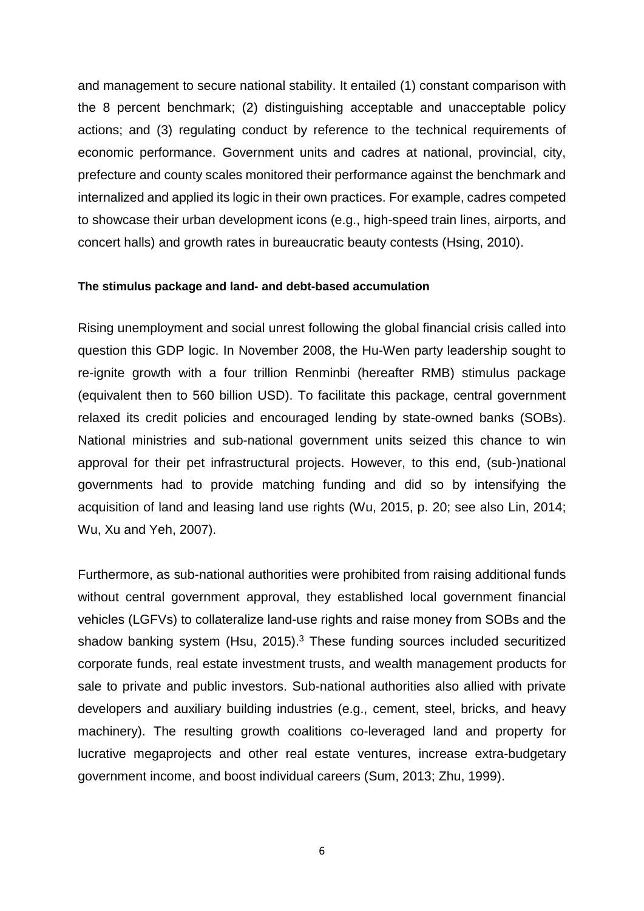and management to secure national stability. It entailed (1) constant comparison with the 8 percent benchmark; (2) distinguishing acceptable and unacceptable policy actions; and (3) regulating conduct by reference to the technical requirements of economic performance. Government units and cadres at national, provincial, city, prefecture and county scales monitored their performance against the benchmark and internalized and applied its logic in their own practices. For example, cadres competed to showcase their urban development icons (e.g., high-speed train lines, airports, and concert halls) and growth rates in bureaucratic beauty contests (Hsing, 2010).

#### **The stimulus package and land- and debt-based accumulation**

Rising unemployment and social unrest following the global financial crisis called into question this GDP logic. In November 2008, the Hu-Wen party leadership sought to re-ignite growth with a four trillion Renminbi (hereafter RMB) stimulus package (equivalent then to 560 billion USD). To facilitate this package, central government relaxed its credit policies and encouraged lending by state-owned banks (SOBs). National ministries and sub-national government units seized this chance to win approval for their pet infrastructural projects. However, to this end, (sub-)national governments had to provide matching funding and did so by intensifying the acquisition of land and leasing land use rights (Wu, 2015, p. 20; see also Lin, 2014; Wu, Xu and Yeh, 2007).

Furthermore, as sub-national authorities were prohibited from raising additional funds without central government approval, they established local government financial vehicles (LGFVs) to collateralize land-use rights and raise money from SOBs and the shadow banking system (Hsu, 2015).<sup>3</sup> These funding sources included securitized corporate funds, real estate investment trusts, and wealth management products for sale to private and public investors. Sub-national authorities also allied with private developers and auxiliary building industries (e.g., cement, steel, bricks, and heavy machinery). The resulting growth coalitions co-leveraged land and property for lucrative megaprojects and other real estate ventures, increase extra-budgetary government income, and boost individual careers (Sum, 2013; Zhu, 1999).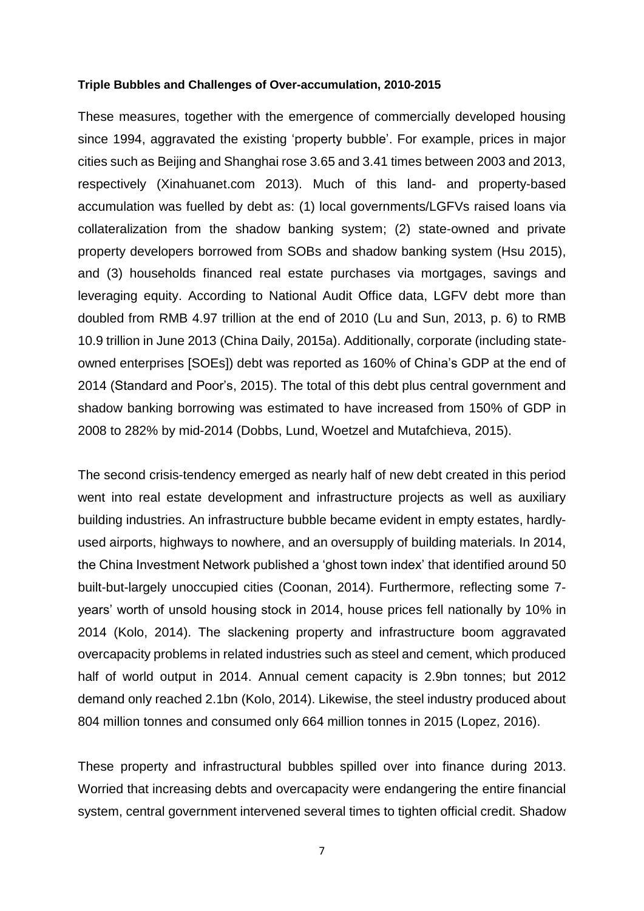#### **Triple Bubbles and Challenges of Over-accumulation, 2010-2015**

These measures, together with the emergence of commercially developed housing since 1994, aggravated the existing 'property bubble'. For example, prices in major cities such as Beijing and Shanghai rose 3.65 and 3.41 times between 2003 and 2013, respectively (Xinahuanet.com 2013). Much of this land- and property-based accumulation was fuelled by debt as: (1) local governments/LGFVs raised loans via collateralization from the shadow banking system; (2) state-owned and private property developers borrowed from SOBs and shadow banking system (Hsu 2015), and (3) households financed real estate purchases via mortgages, savings and leveraging equity. According to National Audit Office data, LGFV debt more than doubled from RMB 4.97 trillion at the end of 2010 (Lu and Sun, 2013, p. 6) to RMB 10.9 trillion in June 2013 (China Daily, 2015a). Additionally, corporate (including stateowned enterprises [SOEs]) debt was reported as 160% of China's GDP at the end of 2014 (Standard and Poor's, 2015). The total of this debt plus central government and shadow banking borrowing was estimated to have increased from 150% of GDP in 2008 to 282% by mid-2014 (Dobbs, Lund, Woetzel and Mutafchieva, 2015).

The second crisis-tendency emerged as nearly half of new debt created in this period went into real estate development and infrastructure projects as well as auxiliary building industries. An infrastructure bubble became evident in empty estates, hardlyused airports, highways to nowhere, and an oversupply of building materials. In 2014, the China Investment Network published a 'ghost town index' that identified around 50 built-but-largely unoccupied cities (Coonan, 2014). Furthermore, reflecting some 7 years' worth of unsold housing stock in 2014, house prices fell nationally by 10% in 2014 (Kolo, 2014). The slackening property and infrastructure boom aggravated overcapacity problems in related industries such as steel and cement, which produced half of world output in 2014. Annual cement capacity is 2.9bn tonnes; but 2012 demand only reached 2.1bn (Kolo, 2014). Likewise, the steel industry produced about 804 million tonnes and consumed only 664 million tonnes in 2015 (Lopez, 2016).

These property and infrastructural bubbles spilled over into finance during 2013. Worried that increasing debts and overcapacity were endangering the entire financial system, central government intervened several times to tighten official credit. Shadow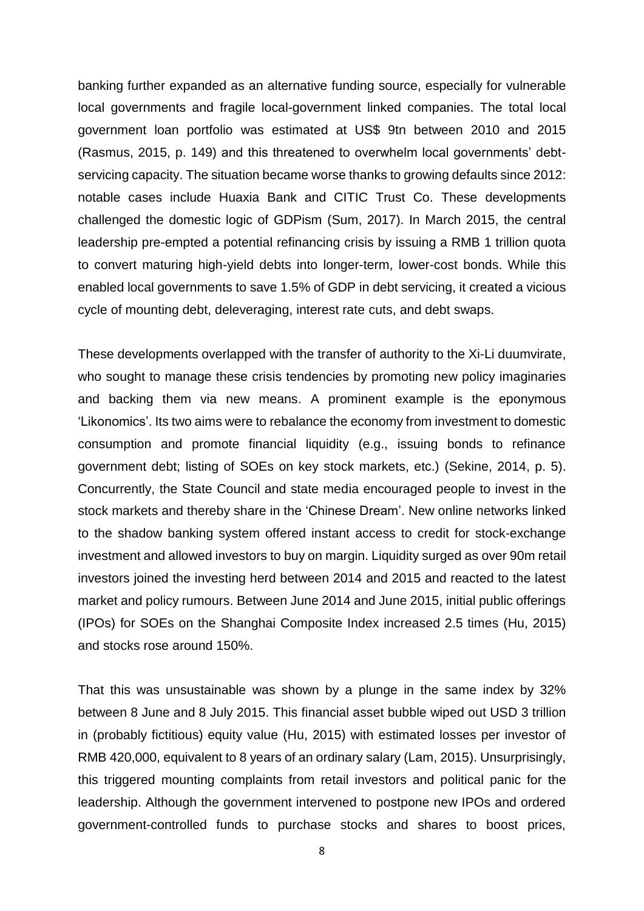banking further expanded as an alternative funding source, especially for vulnerable local governments and fragile local-government linked companies. The total local government loan portfolio was estimated at US\$ 9tn between 2010 and 2015 (Rasmus, 2015, p. 149) and this threatened to overwhelm local governments' debtservicing capacity. The situation became worse thanks to growing defaults since 2012: notable cases include Huaxia Bank and CITIC Trust Co. These developments challenged the domestic logic of GDPism (Sum, 2017). In March 2015, the central leadership pre-empted a potential refinancing crisis by issuing a RMB 1 trillion quota to convert maturing high-yield debts into longer-term, lower-cost bonds. While this enabled local governments to save 1.5% of GDP in debt servicing, it created a vicious cycle of mounting debt, deleveraging, interest rate cuts, and debt swaps.

These developments overlapped with the transfer of authority to the Xi-Li duumvirate, who sought to manage these crisis tendencies by promoting new policy imaginaries and backing them via new means. A prominent example is the eponymous 'Likonomics'. Its two aims were to rebalance the economy from investment to domestic consumption and promote financial liquidity (e.g., issuing bonds to refinance government debt; listing of SOEs on key stock markets, etc.) (Sekine, 2014, p. 5). Concurrently, the State Council and state media encouraged people to invest in the stock markets and thereby share in the 'Chinese Dream'. New online networks linked to the shadow banking system offered instant access to credit for stock-exchange investment and allowed investors to buy on margin. Liquidity surged as over 90m retail investors joined the investing herd between 2014 and 2015 and reacted to the latest market and policy rumours. Between June 2014 and June 2015, initial public offerings (IPOs) for SOEs on the Shanghai Composite Index increased 2.5 times (Hu, 2015) and stocks rose around 150%.

That this was unsustainable was shown by a plunge in the same index by 32% between 8 June and 8 July 2015. This financial asset bubble wiped out USD 3 trillion in (probably fictitious) equity value (Hu, 2015) with estimated losses per investor of RMB 420,000, equivalent to 8 years of an ordinary salary (Lam, 2015). Unsurprisingly, this triggered mounting complaints from retail investors and political panic for the leadership. Although the government intervened to postpone new IPOs and ordered government-controlled funds to purchase stocks and shares to boost prices,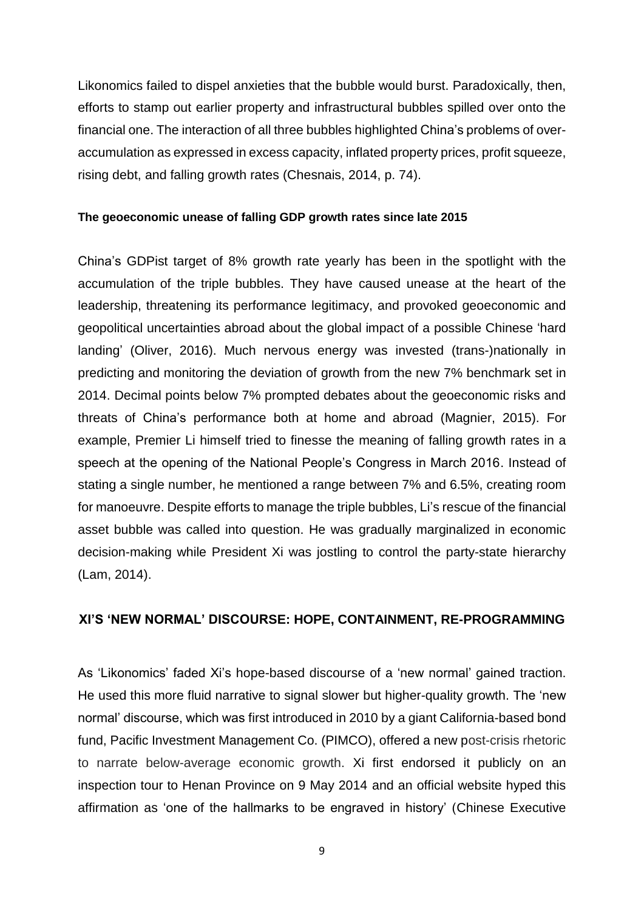Likonomics failed to dispel anxieties that the bubble would burst. Paradoxically, then, efforts to stamp out earlier property and infrastructural bubbles spilled over onto the financial one. The interaction of all three bubbles highlighted China's problems of overaccumulation as expressed in excess capacity, inflated property prices, profit squeeze, rising debt, and falling growth rates (Chesnais, 2014, p. 74).

### **The geoeconomic unease of falling GDP growth rates since late 2015**

China's GDPist target of 8% growth rate yearly has been in the spotlight with the accumulation of the triple bubbles. They have caused unease at the heart of the leadership, threatening its performance legitimacy, and provoked geoeconomic and geopolitical uncertainties abroad about the global impact of a possible Chinese 'hard landing' (Oliver, 2016). Much nervous energy was invested (trans-)nationally in predicting and monitoring the deviation of growth from the new 7% benchmark set in 2014. Decimal points below 7% prompted debates about the geoeconomic risks and threats of China's performance both at home and abroad (Magnier, 2015). For example, Premier Li himself tried to finesse the meaning of falling growth rates in a speech at the opening of the National People's Congress in March 2016. Instead of stating a single number, he mentioned a range between 7% and 6.5%, creating room for manoeuvre. Despite efforts to manage the triple bubbles, Li's rescue of the financial asset bubble was called into question. He was gradually marginalized in economic decision-making while President Xi was jostling to control the party-state hierarchy (Lam, 2014).

# **XI'S 'NEW NORMAL' DISCOURSE: HOPE, CONTAINMENT, RE-PROGRAMMING**

As 'Likonomics' faded Xi's hope-based discourse of a 'new normal' gained traction. He used this more fluid narrative to signal slower but higher-quality growth. The 'new normal' discourse, which was first introduced in 2010 by a giant California-based bond fund, Pacific Investment Management Co. (PIMCO), offered a new post-crisis rhetoric to narrate below-average economic growth. Xi first endorsed it publicly on an inspection tour to Henan Province on 9 May 2014 and an official website hyped this affirmation as 'one of the hallmarks to be engraved in history' (Chinese Executive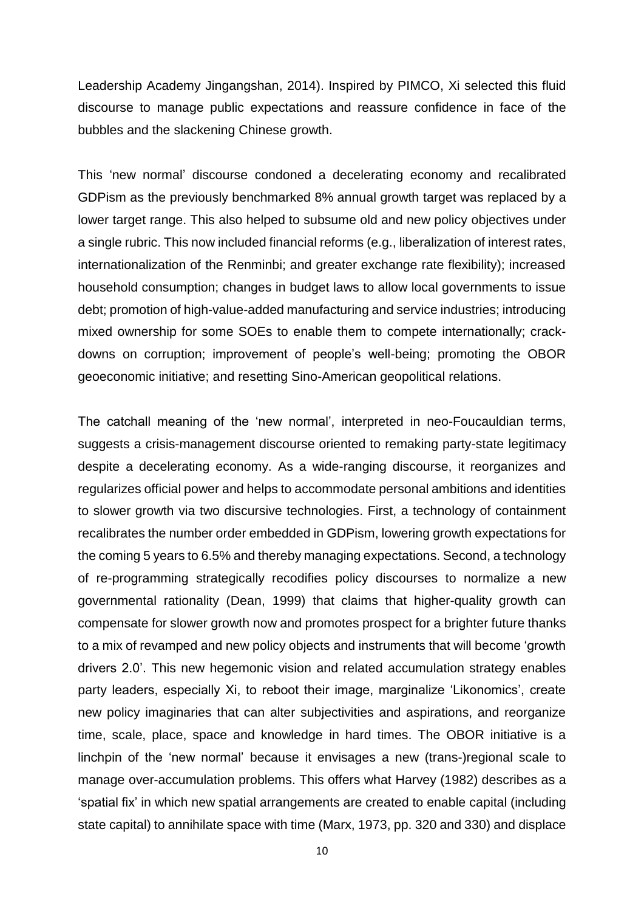Leadership Academy Jingangshan, 2014). Inspired by PIMCO, Xi selected this fluid discourse to manage public expectations and reassure confidence in face of the bubbles and the slackening Chinese growth.

This 'new normal' discourse condoned a decelerating economy and recalibrated GDPism as the previously benchmarked 8% annual growth target was replaced by a lower target range. This also helped to subsume old and new policy objectives under a single rubric. This now included financial reforms (e.g., liberalization of interest rates, internationalization of the Renminbi; and greater exchange rate flexibility); increased household consumption; changes in budget laws to allow local governments to issue debt; promotion of high-value-added manufacturing and service industries; introducing mixed ownership for some SOEs to enable them to compete internationally; crackdowns on corruption; improvement of people's well-being; promoting the OBOR geoeconomic initiative; and resetting Sino-American geopolitical relations.

The catchall meaning of the 'new normal', interpreted in neo-Foucauldian terms, suggests a crisis-management discourse oriented to remaking party-state legitimacy despite a decelerating economy. As a wide-ranging discourse, it reorganizes and regularizes official power and helps to accommodate personal ambitions and identities to slower growth via two discursive technologies. First, a technology of containment recalibrates the number order embedded in GDPism, lowering growth expectations for the coming 5 years to 6.5% and thereby managing expectations. Second, a technology of re-programming strategically recodifies policy discourses to normalize a new governmental rationality (Dean, 1999) that claims that higher-quality growth can compensate for slower growth now and promotes prospect for a brighter future thanks to a mix of revamped and new policy objects and instruments that will become 'growth drivers 2.0'. This new hegemonic vision and related accumulation strategy enables party leaders, especially Xi, to reboot their image, marginalize 'Likonomics', create new policy imaginaries that can alter subjectivities and aspirations, and reorganize time, scale, place, space and knowledge in hard times. The OBOR initiative is a linchpin of the 'new normal' because it envisages a new (trans-)regional scale to manage over-accumulation problems. This offers what Harvey (1982) describes as a 'spatial fix' in which new spatial arrangements are created to enable capital (including state capital) to annihilate space with time (Marx, 1973, pp. 320 and 330) and displace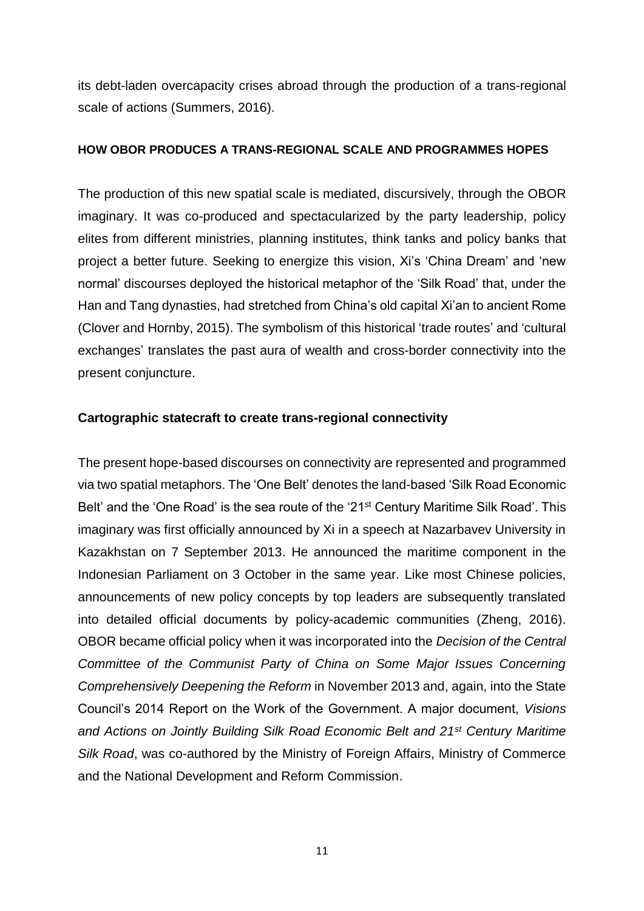its debt-laden overcapacity crises abroad through the production of a trans-regional scale of actions (Summers, 2016).

# **HOW OBOR PRODUCES A TRANS-REGIONAL SCALE AND PROGRAMMES HOPES**

The production of this new spatial scale is mediated, discursively, through the OBOR imaginary. It was co-produced and spectacularized by the party leadership, policy elites from different ministries, planning institutes, think tanks and policy banks that project a better future. Seeking to energize this vision, Xi's 'China Dream' and 'new normal' discourses deployed the historical metaphor of the 'Silk Road' that, under the Han and Tang dynasties, had stretched from China's old capital Xi'an to ancient Rome (Clover and Hornby, 2015). The symbolism of this historical 'trade routes' and 'cultural exchanges' translates the past aura of wealth and cross-border connectivity into the present conjuncture.

# **Cartographic statecraft to create trans-regional connectivity**

The present hope-based discourses on connectivity are represented and programmed via two spatial metaphors. The 'One Belt' denotes the land-based 'Silk Road Economic Belt' and the 'One Road' is the sea route of the '21<sup>st</sup> Century Maritime Silk Road'. This imaginary was first officially announced by Xi in a speech at Nazarbavev University in Kazakhstan on 7 September 2013. He announced the maritime component in the Indonesian Parliament on 3 October in the same year. Like most Chinese policies, announcements of new policy concepts by top leaders are subsequently translated into detailed official documents by policy-academic communities (Zheng, 2016). OBOR became official policy when it was incorporated into the *Decision of the Central Committee of the Communist Party of China on Some Major Issues Concerning Comprehensively Deepening the Reform* in November 2013 and, again, into the State Council's 2014 Report on the Work of the Government. A major document, *Visions and Actions on Jointly Building Silk Road Economic Belt and 21st Century Maritime Silk Road*, was co-authored by the Ministry of Foreign Affairs, Ministry of Commerce and the National Development and Reform Commission.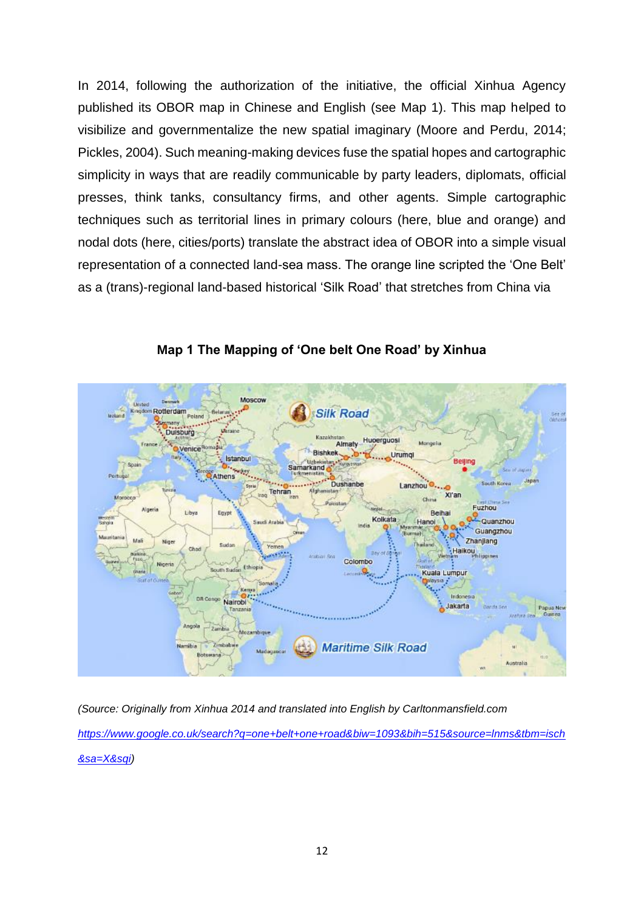In 2014, following the authorization of the initiative, the official Xinhua Agency published its OBOR map in Chinese and English (see Map 1). This map helped to visibilize and governmentalize the new spatial imaginary (Moore and Perdu, 2014; Pickles, 2004). Such meaning-making devices fuse the spatial hopes and cartographic simplicity in ways that are readily communicable by party leaders, diplomats, official presses, think tanks, consultancy firms, and other agents. Simple cartographic techniques such as territorial lines in primary colours (here, blue and orange) and nodal dots (here, cities/ports) translate the abstract idea of OBOR into a simple visual representation of a connected land-sea mass. The orange line scripted the 'One Belt' as a (trans)-regional land-based historical 'Silk Road' that stretches from China via



**Map 1 The Mapping of 'One belt One Road' by Xinhua**

*(Source: Originally from Xinhua 2014 and translated into English by Carltonmansfield.com [https://www.google.co.uk/search?q=one+belt+one+road&biw=1093&bih=515&source=lnms&tbm=isch](https://www.google.co.uk/search?q=one+belt+one+road&biw=1093&bih=515&source=lnms&tbm=isch&sa=X&sqi) [&sa=X&sqi\)](https://www.google.co.uk/search?q=one+belt+one+road&biw=1093&bih=515&source=lnms&tbm=isch&sa=X&sqi)*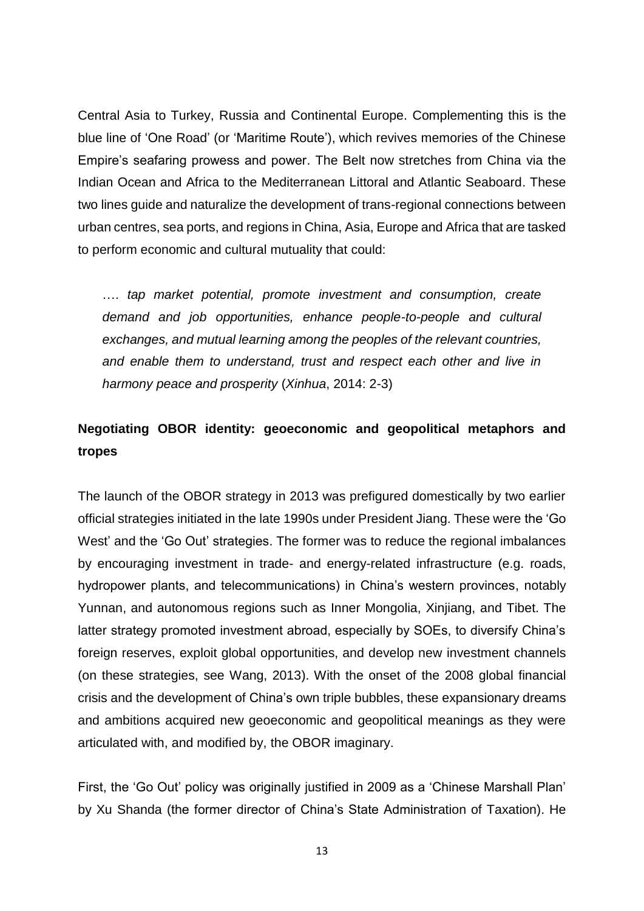Central Asia to Turkey, Russia and Continental Europe. Complementing this is the blue line of 'One Road' (or 'Maritime Route'), which revives memories of the Chinese Empire's seafaring prowess and power. The Belt now stretches from China via the Indian Ocean and Africa to the Mediterranean Littoral and Atlantic Seaboard. These two lines guide and naturalize the development of trans-regional connections between urban centres, sea ports, and regions in China, Asia, Europe and Africa that are tasked to perform economic and cultural mutuality that could:

…. *tap market potential, promote investment and consumption, create demand and job opportunities, enhance people-to-people and cultural exchanges, and mutual learning among the peoples of the relevant countries, and enable them to understand, trust and respect each other and live in harmony peace and prosperity* (*Xinhua*, 2014: 2-3)

# **Negotiating OBOR identity: geoeconomic and geopolitical metaphors and tropes**

The launch of the OBOR strategy in 2013 was prefigured domestically by two earlier official strategies initiated in the late 1990s under President Jiang. These were the 'Go West' and the 'Go Out' strategies. The former was to reduce the regional imbalances by encouraging investment in trade- and energy-related infrastructure (e.g. roads, hydropower plants, and telecommunications) in China's western provinces, notably Yunnan, and autonomous regions such as Inner Mongolia, Xinjiang, and Tibet. The latter strategy promoted investment abroad, especially by SOEs, to diversify China's foreign reserves, exploit global opportunities, and develop new investment channels (on these strategies, see Wang, 2013). With the onset of the 2008 global financial crisis and the development of China's own triple bubbles, these expansionary dreams and ambitions acquired new geoeconomic and geopolitical meanings as they were articulated with, and modified by, the OBOR imaginary.

First, the 'Go Out' policy was originally justified in 2009 as a 'Chinese Marshall Plan' by Xu Shanda (the former director of China's State Administration of Taxation). He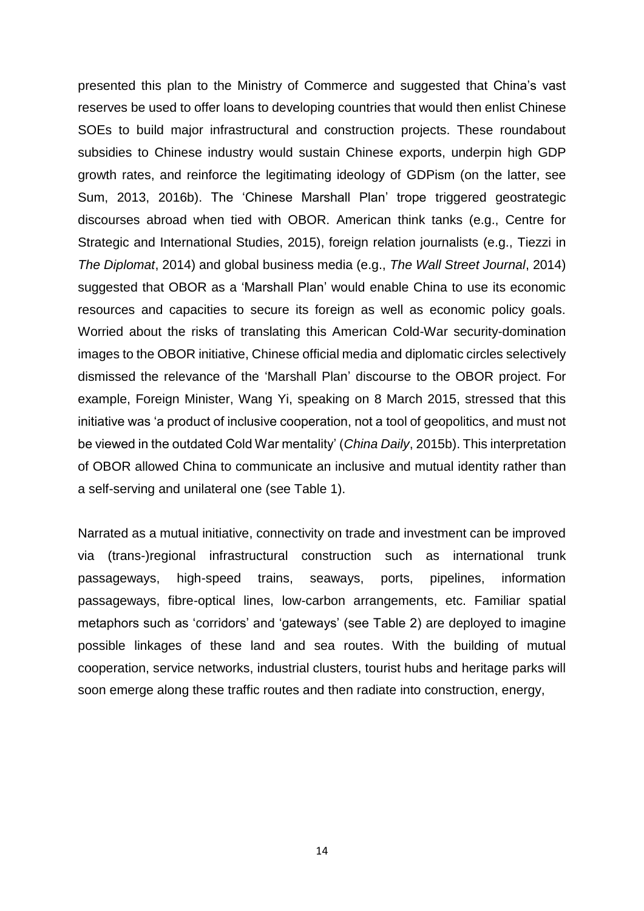presented this plan to the Ministry of Commerce and suggested that China's vast reserves be used to offer loans to developing countries that would then enlist Chinese SOEs to build major infrastructural and construction projects. These roundabout subsidies to Chinese industry would sustain Chinese exports, underpin high GDP growth rates, and reinforce the legitimating ideology of GDPism (on the latter, see Sum, 2013, 2016b). The 'Chinese Marshall Plan' trope triggered geostrategic discourses abroad when tied with OBOR. American think tanks (e.g., Centre for Strategic and International Studies, 2015), foreign relation journalists (e.g., Tiezzi in *The Diplomat*, 2014) and global business media (e.g., *The Wall Street Journal*, 2014) suggested that OBOR as a 'Marshall Plan' would enable China to use its economic resources and capacities to secure its foreign as well as economic policy goals. Worried about the risks of translating this American Cold-War security-domination images to the OBOR initiative, Chinese official media and diplomatic circles selectively dismissed the relevance of the 'Marshall Plan' discourse to the OBOR project. For example, Foreign Minister, Wang Yi, speaking on 8 March 2015, stressed that this initiative was 'a product of inclusive cooperation, not a tool of geopolitics, and must not be viewed in the outdated Cold War mentality' (*China Daily*, 2015b). This interpretation of OBOR allowed China to communicate an inclusive and mutual identity rather than a self-serving and unilateral one (see Table 1).

Narrated as a mutual initiative, connectivity on trade and investment can be improved via (trans-)regional infrastructural construction such as international trunk passageways, high-speed trains, seaways, ports, pipelines, information passageways, fibre-optical lines, low-carbon arrangements, etc. Familiar spatial metaphors such as 'corridors' and 'gateways' (see Table 2) are deployed to imagine possible linkages of these land and sea routes. With the building of mutual cooperation, service networks, industrial clusters, tourist hubs and heritage parks will soon emerge along these traffic routes and then radiate into construction, energy,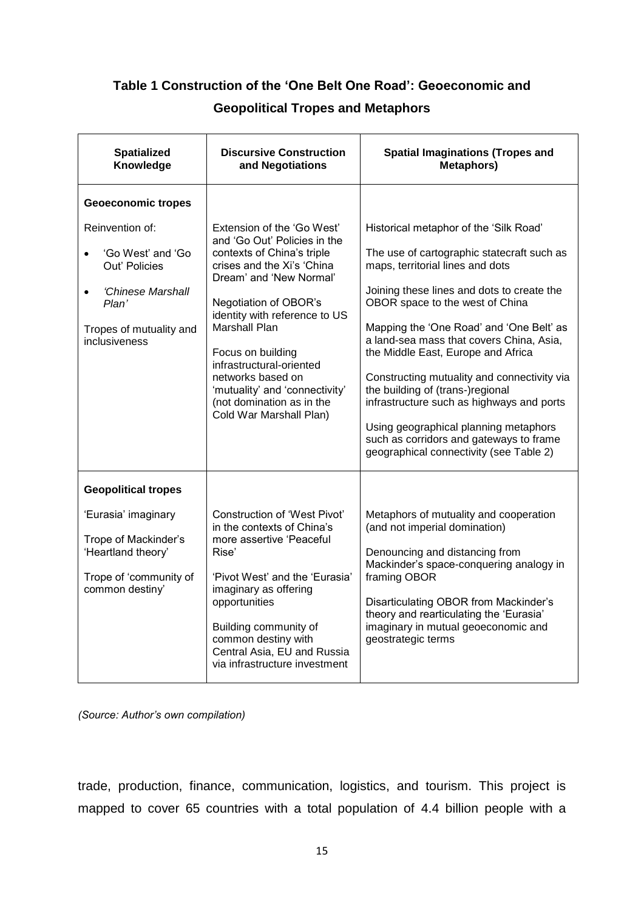# **Table 1 Construction of the 'One Belt One Road': Geoeconomic and**

# **Geopolitical Tropes and Metaphors**

| <b>Spatialized</b><br><b>Discursive Construction</b><br>Knowledge<br>and Negotiations                                                                     |                                                                                                                                                                                                                                                                                                                                                                                                     | <b>Spatial Imaginations (Tropes and</b><br><b>Metaphors)</b>                                                                                                                                                                                                                                                                                                                                                                                                                                                                                                                                           |  |
|-----------------------------------------------------------------------------------------------------------------------------------------------------------|-----------------------------------------------------------------------------------------------------------------------------------------------------------------------------------------------------------------------------------------------------------------------------------------------------------------------------------------------------------------------------------------------------|--------------------------------------------------------------------------------------------------------------------------------------------------------------------------------------------------------------------------------------------------------------------------------------------------------------------------------------------------------------------------------------------------------------------------------------------------------------------------------------------------------------------------------------------------------------------------------------------------------|--|
| <b>Geoeconomic tropes</b>                                                                                                                                 |                                                                                                                                                                                                                                                                                                                                                                                                     |                                                                                                                                                                                                                                                                                                                                                                                                                                                                                                                                                                                                        |  |
| Reinvention of:<br>'Go West' and 'Go<br>$\bullet$<br>Out' Policies<br>'Chinese Marshall<br>$\bullet$<br>Plan'<br>Tropes of mutuality and<br>inclusiveness | Extension of the 'Go West'<br>and 'Go Out' Policies in the<br>contexts of China's triple<br>crises and the Xi's 'China<br>Dream' and 'New Normal'<br>Negotiation of OBOR's<br>identity with reference to US<br><b>Marshall Plan</b><br>Focus on building<br>infrastructural-oriented<br>networks based on<br>'mutuality' and 'connectivity'<br>(not domination as in the<br>Cold War Marshall Plan) | Historical metaphor of the 'Silk Road'<br>The use of cartographic statecraft such as<br>maps, territorial lines and dots<br>Joining these lines and dots to create the<br>OBOR space to the west of China<br>Mapping the 'One Road' and 'One Belt' as<br>a land-sea mass that covers China, Asia,<br>the Middle East, Europe and Africa<br>Constructing mutuality and connectivity via<br>the building of (trans-)regional<br>infrastructure such as highways and ports<br>Using geographical planning metaphors<br>such as corridors and gateways to frame<br>geographical connectivity (see Table 2) |  |
| <b>Geopolitical tropes</b>                                                                                                                                |                                                                                                                                                                                                                                                                                                                                                                                                     |                                                                                                                                                                                                                                                                                                                                                                                                                                                                                                                                                                                                        |  |
| 'Eurasia' imaginary<br>Trope of Mackinder's<br>'Heartland theory'<br>Trope of 'community of<br>common destiny'                                            | <b>Construction of 'West Pivot'</b><br>in the contexts of China's<br>more assertive 'Peaceful<br>Rise'<br>'Pivot West' and the 'Eurasia'<br>imaginary as offering<br>opportunities<br>Building community of<br>common destiny with<br>Central Asia, EU and Russia<br>via infrastructure investment                                                                                                  | Metaphors of mutuality and cooperation<br>(and not imperial domination)<br>Denouncing and distancing from<br>Mackinder's space-conquering analogy in<br>framing OBOR<br>Disarticulating OBOR from Mackinder's<br>theory and rearticulating the 'Eurasia'<br>imaginary in mutual geoeconomic and<br>geostrategic terms                                                                                                                                                                                                                                                                                  |  |

*(Source: Author's own compilation)*

trade, production, finance, communication, logistics, and tourism. This project is mapped to cover 65 countries with a total population of 4.4 billion people with a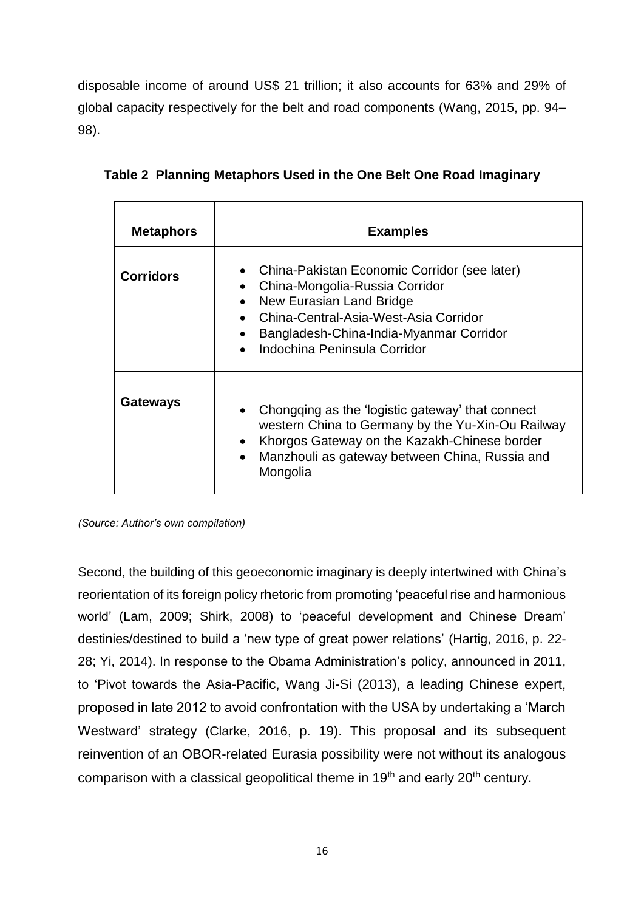disposable income of around US\$ 21 trillion; it also accounts for 63% and 29% of global capacity respectively for the belt and road components (Wang, 2015, pp. 94– 98).

| <b>Metaphors</b> | <b>Examples</b>                                                                                                                                                                                                                                                                    |
|------------------|------------------------------------------------------------------------------------------------------------------------------------------------------------------------------------------------------------------------------------------------------------------------------------|
| <b>Corridors</b> | China-Pakistan Economic Corridor (see later)<br>China-Mongolia-Russia Corridor<br>New Eurasian Land Bridge<br>$\bullet$<br>China-Central-Asia-West-Asia Corridor<br>$\bullet$<br>Bangladesh-China-India-Myanmar Corridor<br>$\bullet$<br>Indochina Peninsula Corridor<br>$\bullet$ |
| <b>Gateways</b>  | Chongqing as the 'logistic gateway' that connect<br>western China to Germany by the Yu-Xin-Ou Railway<br>Khorgos Gateway on the Kazakh-Chinese border<br>$\bullet$<br>Manzhouli as gateway between China, Russia and<br>$\bullet$<br>Mongolia                                      |

**Table 2 Planning Metaphors Used in the One Belt One Road Imaginary**

*(Source: Author's own compilation)*

Second, the building of this geoeconomic imaginary is deeply intertwined with China's reorientation of its foreign policy rhetoric from promoting 'peaceful rise and harmonious world' (Lam, 2009; Shirk, 2008) to 'peaceful development and Chinese Dream' destinies/destined to build a 'new type of great power relations' (Hartig, 2016, p. 22- 28; Yi, 2014). In response to the Obama Administration's policy, announced in 2011, to 'Pivot towards the Asia-Pacific, Wang Ji-Si (2013), a leading Chinese expert, proposed in late 2012 to avoid confrontation with the USA by undertaking a 'March Westward' strategy (Clarke, 2016, p. 19). This proposal and its subsequent reinvention of an OBOR-related Eurasia possibility were not without its analogous comparison with a classical geopolitical theme in 19<sup>th</sup> and early 20<sup>th</sup> century.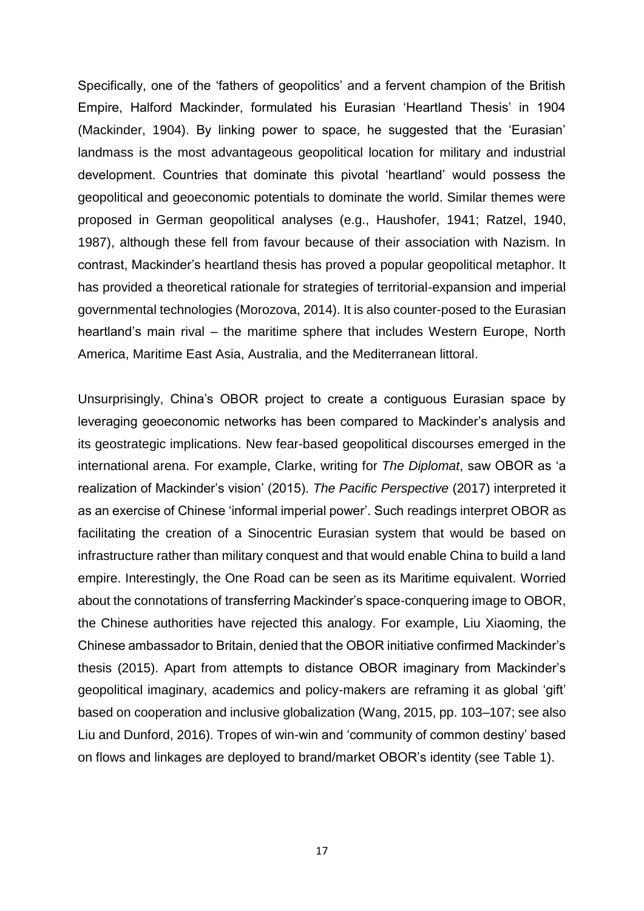Specifically, one of the 'fathers of geopolitics' and a fervent champion of the British Empire, Halford Mackinder, formulated his Eurasian 'Heartland Thesis' in 1904 (Mackinder, 1904). By linking power to space, he suggested that the 'Eurasian' landmass is the most advantageous geopolitical location for military and industrial development. Countries that dominate this pivotal 'heartland' would possess the geopolitical and geoeconomic potentials to dominate the world. Similar themes were proposed in German geopolitical analyses (e.g., Haushofer, 1941; Ratzel, 1940, 1987), although these fell from favour because of their association with Nazism. In contrast, Mackinder's heartland thesis has proved a popular geopolitical metaphor. It has provided a theoretical rationale for strategies of territorial-expansion and imperial governmental technologies (Morozova, 2014). It is also counter-posed to the Eurasian heartland's main rival – the maritime sphere that includes Western Europe, North America, Maritime East Asia, Australia, and the Mediterranean littoral.

Unsurprisingly, China's OBOR project to create a contiguous Eurasian space by leveraging geoeconomic networks has been compared to Mackinder's analysis and its geostrategic implications. New fear-based geopolitical discourses emerged in the international arena. For example, Clarke, writing for *The Diplomat*, saw OBOR as 'a realization of Mackinder's vision' (2015). *The Pacific Perspective* (2017) interpreted it as an exercise of Chinese 'informal imperial power'. Such readings interpret OBOR as facilitating the creation of a Sinocentric Eurasian system that would be based on infrastructure rather than military conquest and that would enable China to build a land empire. Interestingly, the One Road can be seen as its Maritime equivalent. Worried about the connotations of transferring Mackinder's space-conquering image to OBOR, the Chinese authorities have rejected this analogy. For example, Liu Xiaoming, the Chinese ambassador to Britain, denied that the OBOR initiative confirmed Mackinder's thesis (2015). Apart from attempts to distance OBOR imaginary from Mackinder's geopolitical imaginary, academics and policy-makers are reframing it as global 'gift' based on cooperation and inclusive globalization (Wang, 2015, pp. 103–107; see also Liu and Dunford, 2016). Tropes of win-win and 'community of common destiny' based on flows and linkages are deployed to brand/market OBOR's identity (see Table 1).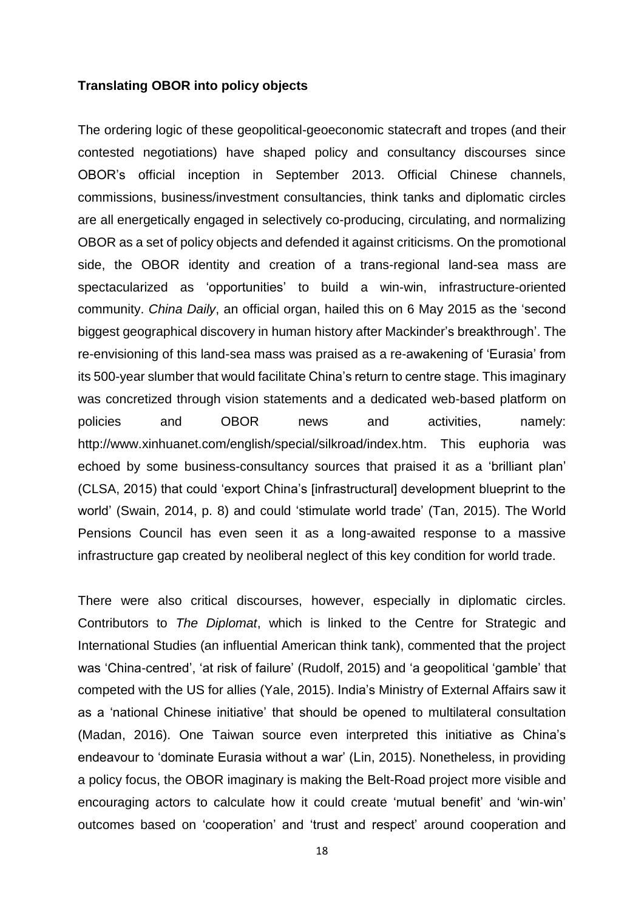#### **Translating OBOR into policy objects**

The ordering logic of these geopolitical-geoeconomic statecraft and tropes (and their contested negotiations) have shaped policy and consultancy discourses since OBOR's official inception in September 2013. Official Chinese channels, commissions, business/investment consultancies, think tanks and diplomatic circles are all energetically engaged in selectively co-producing, circulating, and normalizing OBOR as a set of policy objects and defended it against criticisms. On the promotional side, the OBOR identity and creation of a trans-regional land-sea mass are spectacularized as 'opportunities' to build a win-win, infrastructure-oriented community. *China Daily*, an official organ, hailed this on 6 May 2015 as the 'second biggest geographical discovery in human history after Mackinder's breakthrough'. The re-envisioning of this land-sea mass was praised as a re-awakening of 'Eurasia' from its 500-year slumber that would facilitate China's return to centre stage. This imaginary was concretized through vision statements and a [dedicated web-based platform](http://www.xinhuanet.com/english/special/silkroad/index.htm) on policies and OBOR news and activities, namely: http://www.xinhuanet.com/english/special/silkroad/index.htm. This euphoria was echoed by some business-consultancy sources that praised it as a 'brilliant plan' (CLSA, 2015) that could 'export China's [infrastructural] development blueprint to the world' (Swain, 2014, p. 8) and could 'stimulate world trade' (Tan, 2015). The World Pensions Council has even seen it as a long-awaited response to a massive infrastructure gap created by neoliberal neglect of this key condition for world trade.

There were also critical discourses, however, especially in diplomatic circles. Contributors to *The Diplomat*, which is linked to the Centre for Strategic and International Studies (an influential American think tank), commented that the project was 'China-centred', 'at risk of failure' (Rudolf, 2015) and 'a geopolitical 'gamble' that competed with the US for allies (Yale, 2015). India's Ministry of External Affairs saw it as a 'national Chinese initiative' that should be opened to multilateral consultation (Madan, 2016). One Taiwan source even interpreted this initiative as China's endeavour to 'dominate Eurasia without a war' (Lin, 2015). Nonetheless, in providing a policy focus, the OBOR imaginary is making the Belt-Road project more visible and encouraging actors to calculate how it could create 'mutual benefit' and 'win-win' outcomes based on 'cooperation' and 'trust and respect' around cooperation and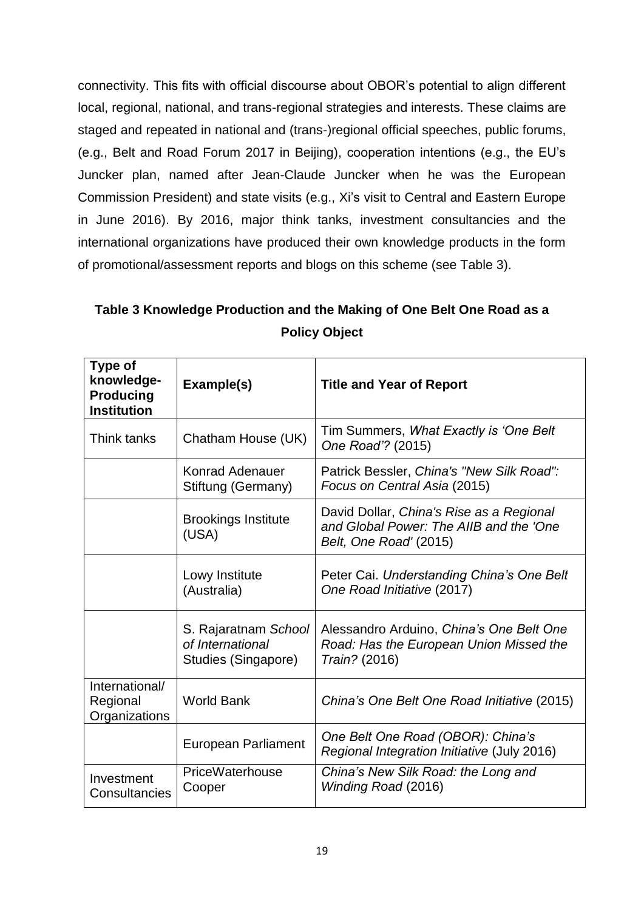connectivity. This fits with official discourse about OBOR's potential to align different local, regional, national, and trans-regional strategies and interests. These claims are staged and repeated in national and (trans-)regional official speeches, public forums, (e.g., Belt and Road Forum 2017 in Beijing), cooperation intentions (e.g., the EU's Juncker plan, named after Jean-Claude Juncker when he was the European Commission President) and state visits (e.g., Xi's visit to Central and Eastern Europe in June 2016). By 2016, major think tanks, investment consultancies and the international organizations have produced their own knowledge products in the form of promotional/assessment reports and blogs on this scheme (see Table 3).

| Table 3 Knowledge Production and the Making of One Belt One Road as a |
|-----------------------------------------------------------------------|
| <b>Policy Object</b>                                                  |

| Type of<br>knowledge-<br><b>Producing</b><br><b>Institution</b> | Example(s)                                                      | <b>Title and Year of Report</b>                                                                               |
|-----------------------------------------------------------------|-----------------------------------------------------------------|---------------------------------------------------------------------------------------------------------------|
| Think tanks                                                     | Chatham House (UK)                                              | Tim Summers, What Exactly is 'One Belt'<br>One Road"? (2015)                                                  |
|                                                                 | <b>Konrad Adenauer</b><br>Stiftung (Germany)                    | Patrick Bessler, China's "New Silk Road":<br>Focus on Central Asia (2015)                                     |
|                                                                 | <b>Brookings Institute</b><br>(USA)                             | David Dollar, China's Rise as a Regional<br>and Global Power: The AllB and the 'One<br>Belt, One Road' (2015) |
|                                                                 | Lowy Institute<br>(Australia)                                   | Peter Cai. Understanding China's One Belt<br>One Road Initiative (2017)                                       |
|                                                                 | S. Rajaratnam School<br>of International<br>Studies (Singapore) | Alessandro Arduino, China's One Belt One<br>Road: Has the European Union Missed the<br>Train? (2016)          |
| International/<br>Regional<br>Organizations                     | <b>World Bank</b>                                               | China's One Belt One Road Initiative (2015)                                                                   |
|                                                                 | <b>European Parliament</b>                                      | One Belt One Road (OBOR): China's<br>Regional Integration Initiative (July 2016)                              |
| Investment<br>Consultancies                                     | PriceWaterhouse<br>Cooper                                       | China's New Silk Road: the Long and<br>Winding Road (2016)                                                    |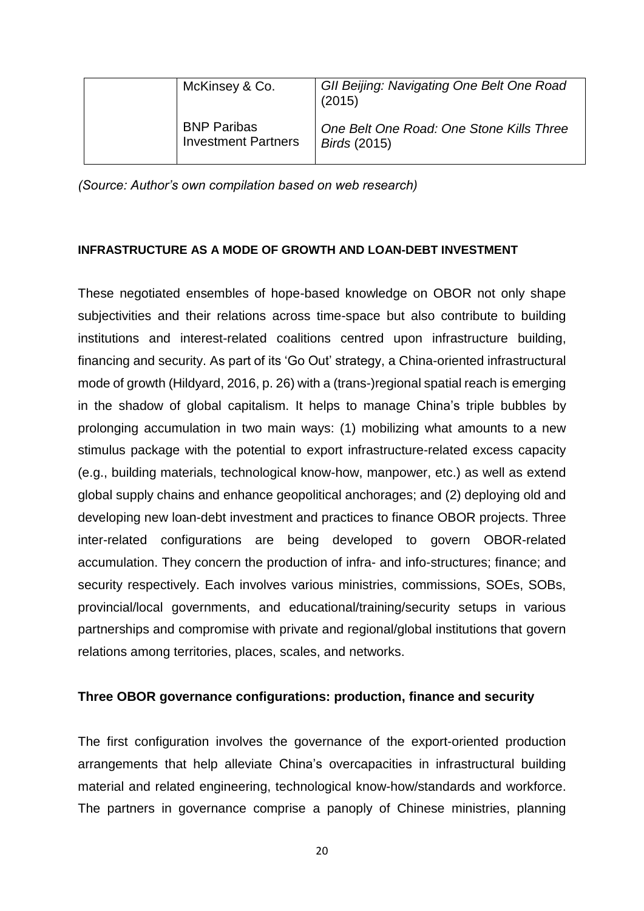| McKinsey & Co.                                   | <b>GII Beijing: Navigating One Belt One Road</b><br>(2015)      |
|--------------------------------------------------|-----------------------------------------------------------------|
| <b>BNP Paribas</b><br><b>Investment Partners</b> | One Belt One Road: One Stone Kills Three<br><i>Birds</i> (2015) |

*(Source: Author's own compilation based on web research)*

## **INFRASTRUCTURE AS A MODE OF GROWTH AND LOAN-DEBT INVESTMENT**

These negotiated ensembles of hope-based knowledge on OBOR not only shape subjectivities and their relations across time-space but also contribute to building institutions and interest-related coalitions centred upon infrastructure building, financing and security. As part of its 'Go Out' strategy, a China-oriented infrastructural mode of growth (Hildyard, 2016, p. 26) with a (trans-)regional spatial reach is emerging in the shadow of global capitalism. It helps to manage China's triple bubbles by prolonging accumulation in two main ways: (1) mobilizing what amounts to a new stimulus package with the potential to export infrastructure-related excess capacity (e.g., building materials, technological know-how, manpower, etc.) as well as extend global supply chains and enhance geopolitical anchorages; and (2) deploying old and developing new loan-debt investment and practices to finance OBOR projects. Three inter-related configurations are being developed to govern OBOR-related accumulation. They concern the production of infra- and info-structures; finance; and security respectively. Each involves various ministries, commissions, SOEs, SOBs, provincial/local governments, and educational/training/security setups in various partnerships and compromise with private and regional/global institutions that govern relations among territories, places, scales, and networks.

# **Three OBOR governance configurations: production, finance and security**

The first configuration involves the governance of the export-oriented production arrangements that help alleviate China's overcapacities in infrastructural building material and related engineering, technological know-how/standards and workforce. The partners in governance comprise a panoply of Chinese ministries, planning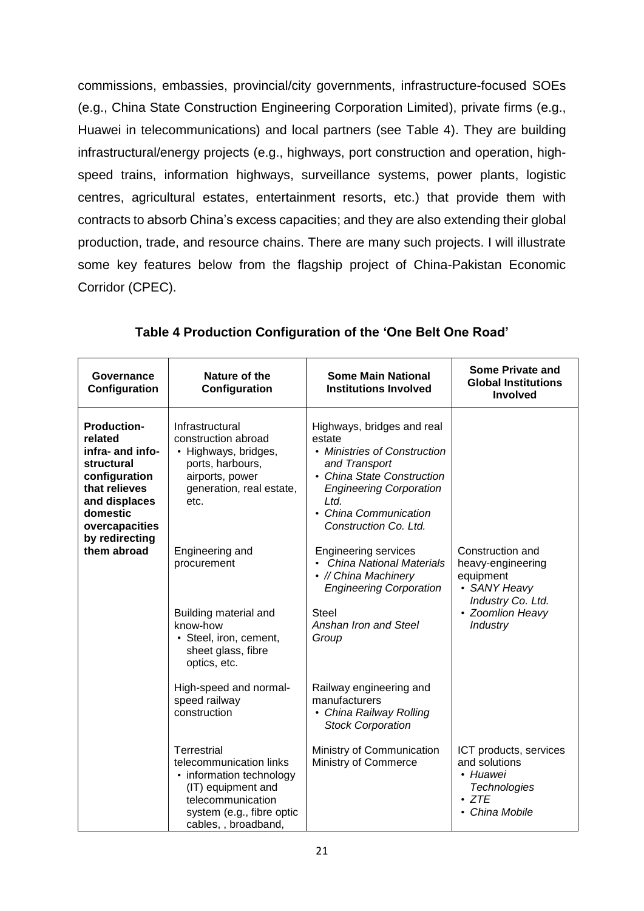commissions, embassies, provincial/city governments, infrastructure-focused SOEs (e.g., China State Construction Engineering Corporation Limited), private firms (e.g., Huawei in telecommunications) and local partners (see Table 4). They are building infrastructural/energy projects (e.g., highways, port construction and operation, highspeed trains, information highways, surveillance systems, power plants, logistic centres, agricultural estates, entertainment resorts, etc.) that provide them with contracts to absorb China's excess capacities; and they are also extending their global production, trade, and resource chains. There are many such projects. I will illustrate some key features below from the flagship project of China-Pakistan Economic Corridor (CPEC).

| Governance<br>Configuration                                                                                                                                                       | Nature of the<br>Configuration                                                                                                                                              | <b>Some Main National</b><br><b>Institutions Involved</b>                                                                                                                                                                                                                                                                                 | Some Private and<br><b>Global Institutions</b><br><b>Involved</b>                                           |  |
|-----------------------------------------------------------------------------------------------------------------------------------------------------------------------------------|-----------------------------------------------------------------------------------------------------------------------------------------------------------------------------|-------------------------------------------------------------------------------------------------------------------------------------------------------------------------------------------------------------------------------------------------------------------------------------------------------------------------------------------|-------------------------------------------------------------------------------------------------------------|--|
| <b>Production-</b><br>related<br>infra- and info-<br>structural<br>configuration<br>that relieves<br>and displaces<br>domestic<br>overcapacities<br>by redirecting<br>them abroad | Infrastructural<br>construction abroad<br>• Highways, bridges,<br>ports, harbours,<br>airports, power<br>generation, real estate,<br>etc.<br>Engineering and<br>procurement | Highways, bridges and real<br>estate<br>• Ministries of Construction<br>and Transport<br>• China State Construction<br><b>Engineering Corporation</b><br>Ltd.<br>China Communication<br>Construction Co. Ltd.<br><b>Engineering services</b><br><b>China National Materials</b><br>• // China Machinery<br><b>Engineering Corporation</b> | Construction and<br>heavy-engineering<br>equipment<br>• SANY Heavy<br>Industry Co. Ltd.                     |  |
|                                                                                                                                                                                   | Building material and<br>know-how<br>• Steel, iron, cement,<br>sheet glass, fibre<br>optics, etc.                                                                           | <b>Steel</b><br>Anshan Iron and Steel<br>Group                                                                                                                                                                                                                                                                                            | • Zoomlion Heavy<br><b>Industry</b>                                                                         |  |
|                                                                                                                                                                                   | High-speed and normal-<br>speed railway<br>construction                                                                                                                     | Railway engineering and<br>manufacturers<br>• China Railway Rolling<br><b>Stock Corporation</b>                                                                                                                                                                                                                                           |                                                                                                             |  |
|                                                                                                                                                                                   | Terrestrial<br>telecommunication links<br>• information technology<br>(IT) equipment and<br>telecommunication<br>system (e.g., fibre optic<br>cables, , broadband,          | Ministry of Communication<br>Ministry of Commerce                                                                                                                                                                                                                                                                                         | ICT products, services<br>and solutions<br>• Huawei<br><b>Technologies</b><br>$\cdot$ ZTE<br>• China Mobile |  |

**Table 4 Production Configuration of the 'One Belt One Road'**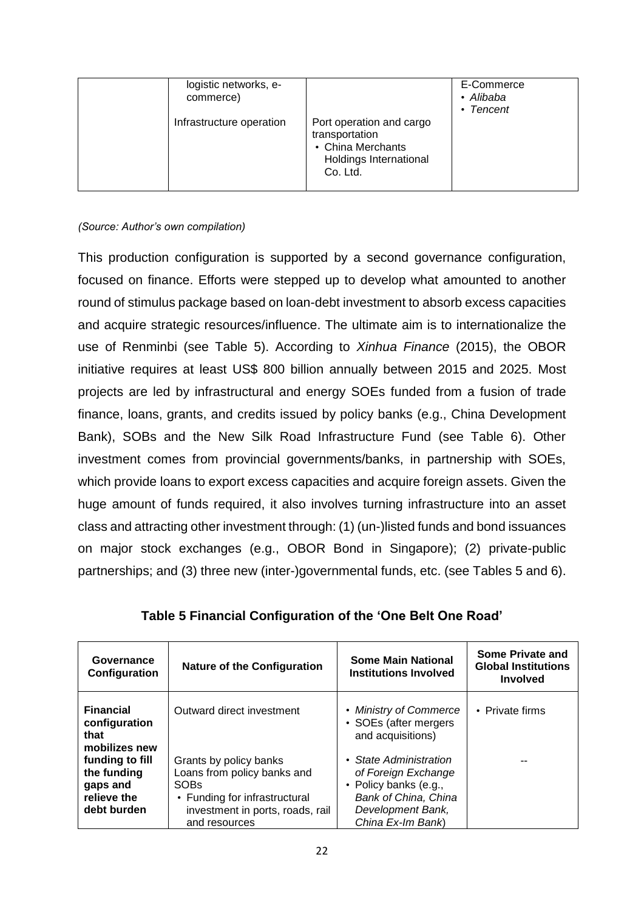| logistic networks, e-<br>commerce) |                                                                                                       | E-Commerce<br>• Alibaba<br>• Tencent |
|------------------------------------|-------------------------------------------------------------------------------------------------------|--------------------------------------|
| Infrastructure operation           | Port operation and cargo<br>transportation<br>• China Merchants<br>Holdings International<br>Co. Ltd. |                                      |

### *(Source: Author's own compilation)*

This production configuration is supported by a second governance configuration, focused on finance. Efforts were stepped up to develop what amounted to another round of stimulus package based on loan-debt investment to absorb excess capacities and acquire strategic resources/influence. The ultimate aim is to internationalize the use of Renminbi (see Table 5). According to *Xinhua Finance* (2015), the OBOR initiative requires at least US\$ 800 billion annually between 2015 and 2025. Most projects are led by infrastructural and energy SOEs funded from a fusion of trade finance, loans, grants, and credits issued by policy banks (e.g., China Development Bank), SOBs and the New Silk Road Infrastructure Fund (see Table 6). Other investment comes from provincial governments/banks, in partnership with SOEs, which provide loans to export excess capacities and acquire foreign assets. Given the huge amount of funds required, it also involves turning infrastructure into an asset class and attracting other investment through: (1) (un-)listed funds and bond issuances on major stock exchanges (e.g., OBOR Bond in Singapore); (2) private-public partnerships; and (3) three new (inter-)governmental funds, etc. (see Tables 5 and 6).

| Governance<br>Configuration                                              | <b>Nature of the Configuration</b>                                                                                                                         | <b>Some Main National</b><br><b>Institutions Involved</b>                                                                                | Some Private and<br><b>Global Institutions</b><br><b>Involved</b> |
|--------------------------------------------------------------------------|------------------------------------------------------------------------------------------------------------------------------------------------------------|------------------------------------------------------------------------------------------------------------------------------------------|-------------------------------------------------------------------|
| <b>Financial</b><br>configuration<br>that<br>mobilizes new               | Outward direct investment                                                                                                                                  | • Ministry of Commerce<br>• SOEs (after mergers)<br>and acquisitions)                                                                    | • Private firms                                                   |
| funding to fill<br>the funding<br>gaps and<br>relieve the<br>debt burden | Grants by policy banks<br>Loans from policy banks and<br><b>SOBs</b><br>• Funding for infrastructural<br>investment in ports, roads, rail<br>and resources | • State Administration<br>of Foreign Exchange<br>• Policy banks (e.g.,<br>Bank of China, China<br>Development Bank,<br>China Ex-Im Bank) |                                                                   |

**Table 5 Financial Configuration of the 'One Belt One Road'**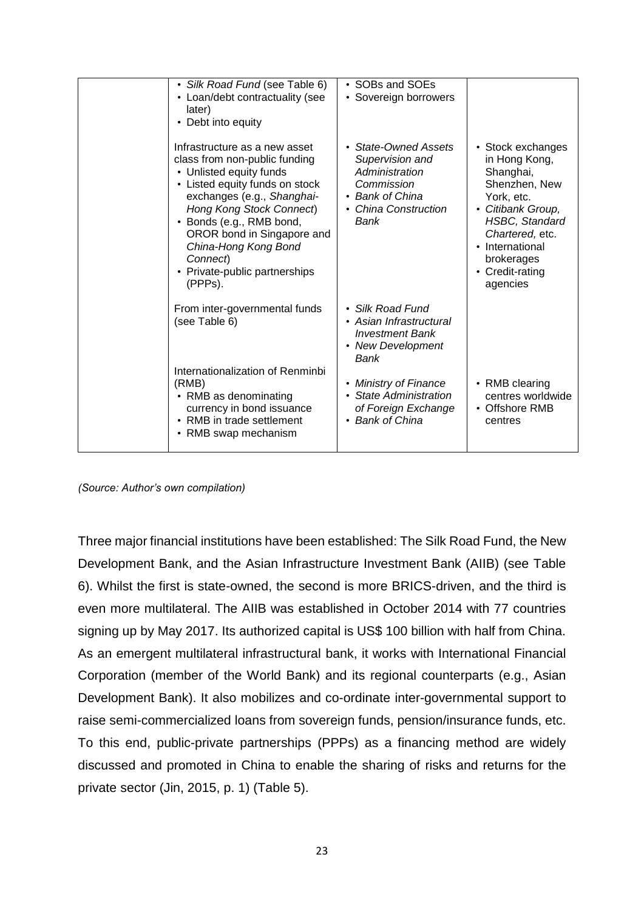| · Silk Road Fund (see Table 6)<br>• Loan/debt contractuality (see<br>later)<br>• Debt into equity                                                                                                                                                                                                                               | • SOBs and SOEs<br>• Sovereign borrowers                                                                                   |                                                                                                                                                                                                                 |
|---------------------------------------------------------------------------------------------------------------------------------------------------------------------------------------------------------------------------------------------------------------------------------------------------------------------------------|----------------------------------------------------------------------------------------------------------------------------|-----------------------------------------------------------------------------------------------------------------------------------------------------------------------------------------------------------------|
| Infrastructure as a new asset<br>class from non-public funding<br>• Unlisted equity funds<br>• Listed equity funds on stock<br>exchanges (e.g., Shanghai-<br>Hong Kong Stock Connect)<br>• Bonds (e.g., RMB bond,<br>OROR bond in Singapore and<br>China-Hong Kong Bond<br>Connect)<br>• Private-public partnerships<br>(PPPs). | • State-Owned Assets<br>Supervision and<br>Administration<br>Commission<br>• Bank of China<br>• China Construction<br>Bank | • Stock exchanges<br>in Hong Kong,<br>Shanghai,<br>Shenzhen, New<br>York, etc.<br>• Citibank Group,<br><b>HSBC, Standard</b><br>Chartered, etc.<br>• International<br>brokerages<br>• Credit-rating<br>agencies |
| From inter-governmental funds<br>(see Table 6)<br>Internationalization of Renminbi                                                                                                                                                                                                                                              | • Silk Road Fund<br>• Asian Infrastructural<br><b>Investment Bank</b><br>• New Development<br>Bank                         |                                                                                                                                                                                                                 |
| (RMB)<br>• RMB as denominating<br>currency in bond issuance<br>• RMB in trade settlement<br>• RMB swap mechanism                                                                                                                                                                                                                | • Ministry of Finance<br>• State Administration<br>of Foreign Exchange<br>• Bank of China                                  | • RMB clearing<br>centres worldwide<br>• Offshore RMB<br>centres                                                                                                                                                |

*(Source: Author's own compilation)*

Three major financial institutions have been established: The Silk Road Fund, the New Development Bank, and the Asian Infrastructure Investment Bank (AIIB) (see Table 6). Whilst the first is state-owned, the second is more BRICS-driven, and the third is even more multilateral. The AIIB was established in October 2014 with 77 countries signing up by May 2017. Its authorized capital is US\$ 100 billion with half from China. As an emergent multilateral infrastructural bank, it works with International Financial Corporation (member of the World Bank) and its regional counterparts (e.g., Asian Development Bank). It also mobilizes and co-ordinate inter-governmental support to raise semi-commercialized loans from sovereign funds, pension/insurance funds, etc. To this end, public-private partnerships (PPPs) as a financing method are widely discussed and promoted in China to enable the sharing of risks and returns for the private sector (Jin, 2015, p. 1) (Table 5).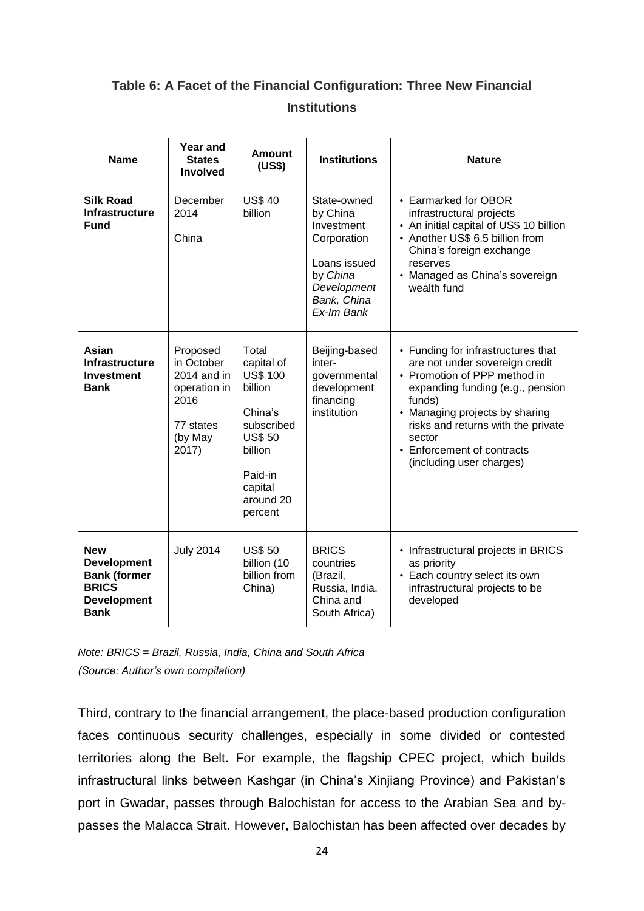# **Table 6: A Facet of the Financial Configuration: Three New Financial Institutions**

| <b>Name</b>                                                                                                  | <b>Year and</b><br><b>States</b><br><b>Involved</b>                                            | <b>Amount</b><br>(US\$)                                                                                                                              | <b>Institutions</b>                                                                                                          | <b>Nature</b>                                                                                                                                                                                                                                                                                  |
|--------------------------------------------------------------------------------------------------------------|------------------------------------------------------------------------------------------------|------------------------------------------------------------------------------------------------------------------------------------------------------|------------------------------------------------------------------------------------------------------------------------------|------------------------------------------------------------------------------------------------------------------------------------------------------------------------------------------------------------------------------------------------------------------------------------------------|
| <b>Silk Road</b><br><b>Infrastructure</b><br><b>Fund</b>                                                     | December<br>2014<br>China                                                                      | <b>US\$40</b><br>billion                                                                                                                             | State-owned<br>by China<br>Investment<br>Corporation<br>Loans issued<br>by China<br>Development<br>Bank, China<br>Ex-Im Bank | • Earmarked for OBOR<br>infrastructural projects<br>• An initial capital of US\$ 10 billion<br>• Another US\$ 6.5 billion from<br>China's foreign exchange<br>reserves<br>• Managed as China's sovereign<br>wealth fund                                                                        |
| Asian<br><b>Infrastructure</b><br><b>Investment</b><br>Bank                                                  | Proposed<br>in October<br>2014 and in<br>operation in<br>2016<br>77 states<br>(by May<br>2017) | Total<br>capital of<br><b>US\$ 100</b><br>billion<br>China's<br>subscribed<br><b>US\$50</b><br>billion<br>Paid-in<br>capital<br>around 20<br>percent | Beijing-based<br>inter-<br>governmental<br>development<br>financing<br>institution                                           | • Funding for infrastructures that<br>are not under sovereign credit<br>• Promotion of PPP method in<br>expanding funding (e.g., pension<br>funds)<br>• Managing projects by sharing<br>risks and returns with the private<br>sector<br>• Enforcement of contracts<br>(including user charges) |
| <b>New</b><br><b>Development</b><br><b>Bank (former</b><br><b>BRICS</b><br><b>Development</b><br><b>Bank</b> | <b>July 2014</b>                                                                               | <b>US\$50</b><br>billion (10<br>billion from<br>China)                                                                                               | <b>BRICS</b><br>countries<br>(Brazil,<br>Russia, India,<br>China and<br>South Africa)                                        | • Infrastructural projects in BRICS<br>as priority<br>• Each country select its own<br>infrastructural projects to be<br>developed                                                                                                                                                             |

*Note: BRICS = Brazil, Russia, India, China and South Africa (Source: Author's own compilation)*

Third, contrary to the financial arrangement, the place-based production configuration faces continuous security challenges, especially in some divided or contested territories along the Belt. For example, the flagship CPEC project, which builds infrastructural links between Kashgar (in China's Xinjiang Province) and Pakistan's port in Gwadar, passes through Balochistan for access to the Arabian Sea and bypasses the Malacca Strait. However, Balochistan has been affected over decades by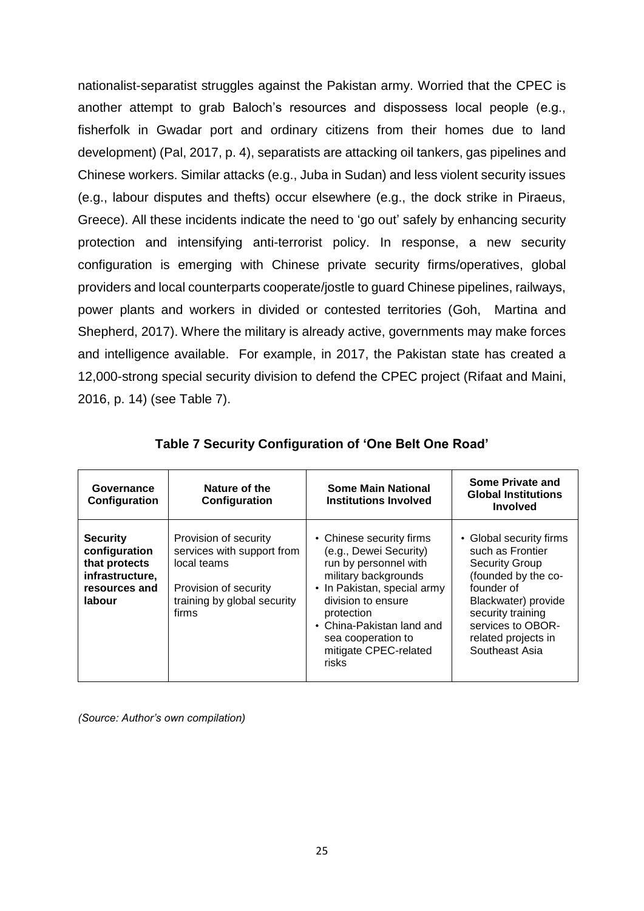nationalist-separatist struggles against the Pakistan army. Worried that the CPEC is another attempt to grab Baloch's resources and dispossess local people (e.g., fisherfolk in Gwadar port and ordinary citizens from their homes due to land development) (Pal, 2017, p. 4), separatists are attacking oil tankers, gas pipelines and Chinese workers. Similar attacks (e.g., Juba in Sudan) and less violent security issues (e.g., labour disputes and thefts) occur elsewhere (e.g., the dock strike in Piraeus, Greece). All these incidents indicate the need to 'go out' safely by enhancing security protection and intensifying anti-terrorist policy. In response, a new security configuration is emerging with Chinese private security firms/operatives, global providers and local counterparts cooperate/jostle to guard Chinese pipelines, railways, power plants and workers in divided or contested territories (Goh, Martina and Shepherd, 2017). Where the military is already active, governments may make forces and intelligence available. For example, in 2017, the Pakistan state has created a 12,000-strong special security division to defend the CPEC project (Rifaat and Maini, 2016, p. 14) (see Table 7).

| Governance<br>Configuration                                                                     | Nature of the<br>Configuration                                                                                                      | <b>Some Main National</b><br><b>Institutions Involved</b>                                                                                                                                                                                                   | Some Private and<br><b>Global Institutions</b><br><b>Involved</b>                                                                                                                                                   |
|-------------------------------------------------------------------------------------------------|-------------------------------------------------------------------------------------------------------------------------------------|-------------------------------------------------------------------------------------------------------------------------------------------------------------------------------------------------------------------------------------------------------------|---------------------------------------------------------------------------------------------------------------------------------------------------------------------------------------------------------------------|
| <b>Security</b><br>configuration<br>that protects<br>infrastructure,<br>resources and<br>labour | Provision of security<br>services with support from<br>local teams<br>Provision of security<br>training by global security<br>firms | • Chinese security firms<br>(e.g., Dewei Security)<br>run by personnel with<br>military backgrounds<br>• In Pakistan, special army<br>division to ensure<br>protection<br>• China-Pakistan land and<br>sea cooperation to<br>mitigate CPEC-related<br>risks | • Global security firms<br>such as Frontier<br><b>Security Group</b><br>(founded by the co-<br>founder of<br>Blackwater) provide<br>security training<br>services to OBOR-<br>related projects in<br>Southeast Asia |

**Table 7 Security Configuration of 'One Belt One Road'**

*(Source: Author's own compilation)*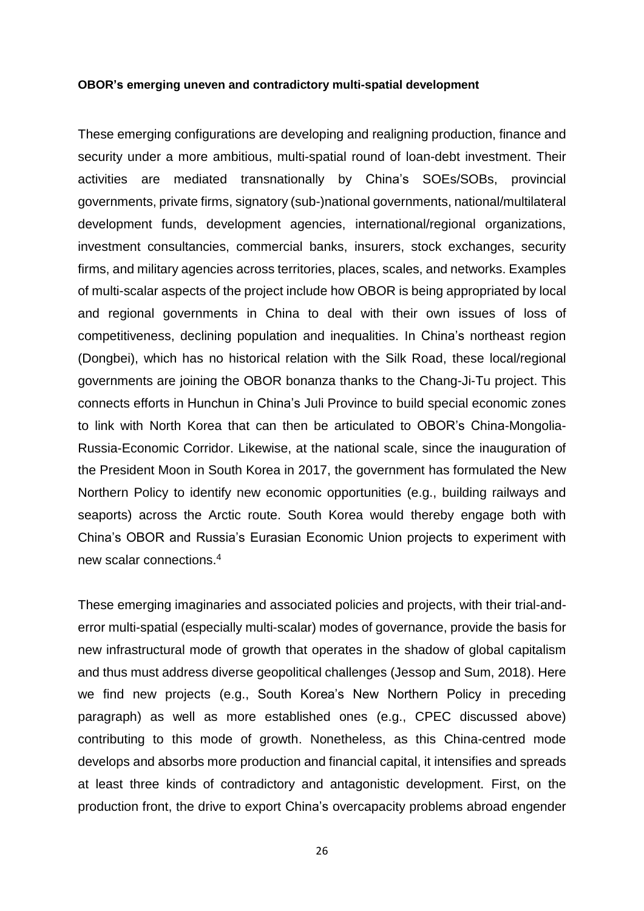#### **OBOR's emerging uneven and contradictory multi-spatial development**

These emerging configurations are developing and realigning production, finance and security under a more ambitious, multi-spatial round of loan-debt investment. Their activities are mediated transnationally by China's SOEs/SOBs, provincial governments, private firms, signatory (sub-)national governments, national/multilateral development funds, development agencies, international/regional organizations, investment consultancies, commercial banks, insurers, stock exchanges, security firms, and military agencies across territories, places, scales, and networks. Examples of multi-scalar aspects of the project include how OBOR is being appropriated by local and regional governments in China to deal with their own issues of loss of competitiveness, declining population and inequalities. In China's northeast region (Dongbei), which has no historical relation with the Silk Road, these local/regional governments are joining the OBOR bonanza thanks to the Chang-Ji-Tu project. This connects efforts in Hunchun in China's Juli Province to build special economic zones to link with North Korea that can then be articulated to OBOR's China-Mongolia-Russia-Economic Corridor. Likewise, at the national scale, since the inauguration of the President Moon in South Korea in 2017, the government has formulated the New Northern Policy to identify new economic opportunities (e.g., building railways and seaports) across the Arctic route. South Korea would thereby engage both with China's OBOR and Russia's Eurasian Economic Union projects to experiment with new scalar connections.<sup>4</sup>

These emerging imaginaries and associated policies and projects, with their trial-anderror multi-spatial (especially multi-scalar) modes of governance, provide the basis for new infrastructural mode of growth that operates in the shadow of global capitalism and thus must address diverse geopolitical challenges (Jessop and Sum, 2018). Here we find new projects (e.g., South Korea's New Northern Policy in preceding paragraph) as well as more established ones (e.g., CPEC discussed above) contributing to this mode of growth. Nonetheless, as this China-centred mode develops and absorbs more production and financial capital, it intensifies and spreads at least three kinds of contradictory and antagonistic development. First, on the production front, the drive to export China's overcapacity problems abroad engender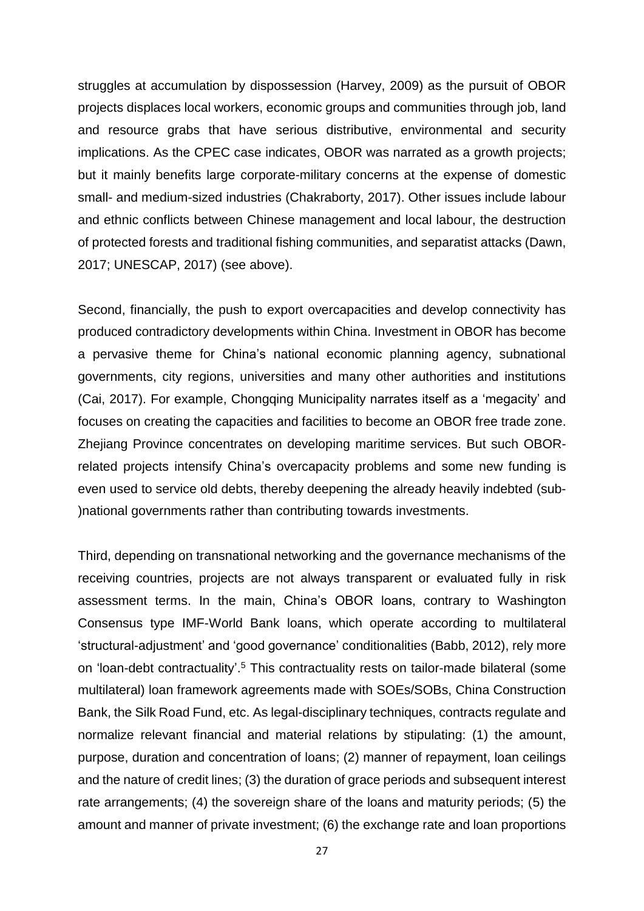struggles at accumulation by dispossession (Harvey, 2009) as the pursuit of OBOR projects displaces local workers, economic groups and communities through job, land and resource grabs that have serious distributive, environmental and security implications. As the CPEC case indicates, OBOR was narrated as a growth projects; but it mainly benefits large corporate-military concerns at the expense of domestic small- and medium-sized industries (Chakraborty, 2017). Other issues include labour and ethnic conflicts between Chinese management and local labour, the destruction of protected forests and traditional fishing communities, and separatist attacks (Dawn, 2017; UNESCAP, 2017) (see above).

Second, financially, the push to export overcapacities and develop connectivity has produced contradictory developments within China. Investment in OBOR has become a pervasive theme for China's national economic planning agency, subnational governments, city regions, universities and many other authorities and institutions (Cai, 2017). For example, Chongqing Municipality narrates itself as a 'megacity' and focuses on creating the capacities and facilities to become an OBOR free trade zone. Zhejiang Province concentrates on developing maritime services. But such OBORrelated projects intensify China's overcapacity problems and some new funding is even used to service old debts, thereby deepening the already heavily indebted (sub- )national governments rather than contributing towards investments.

Third, depending on transnational networking and the governance mechanisms of the receiving countries, projects are not always transparent or evaluated fully in risk assessment terms. In the main, China's OBOR loans, contrary to Washington Consensus type IMF-World Bank loans, which operate according to multilateral 'structural-adjustment' and 'good governance' conditionalities (Babb, 2012), rely more on 'loan-debt contractuality'.<sup>5</sup> This contractuality rests on tailor-made bilateral (some multilateral) loan framework agreements made with SOEs/SOBs, China Construction Bank, the Silk Road Fund, etc. As legal-disciplinary techniques, contracts regulate and normalize relevant financial and material relations by stipulating: (1) the amount, purpose, duration and concentration of loans; (2) manner of repayment, loan ceilings and the nature of credit lines; (3) the duration of grace periods and subsequent interest rate arrangements; (4) the sovereign share of the loans and maturity periods; (5) the amount and manner of private investment; (6) the exchange rate and loan proportions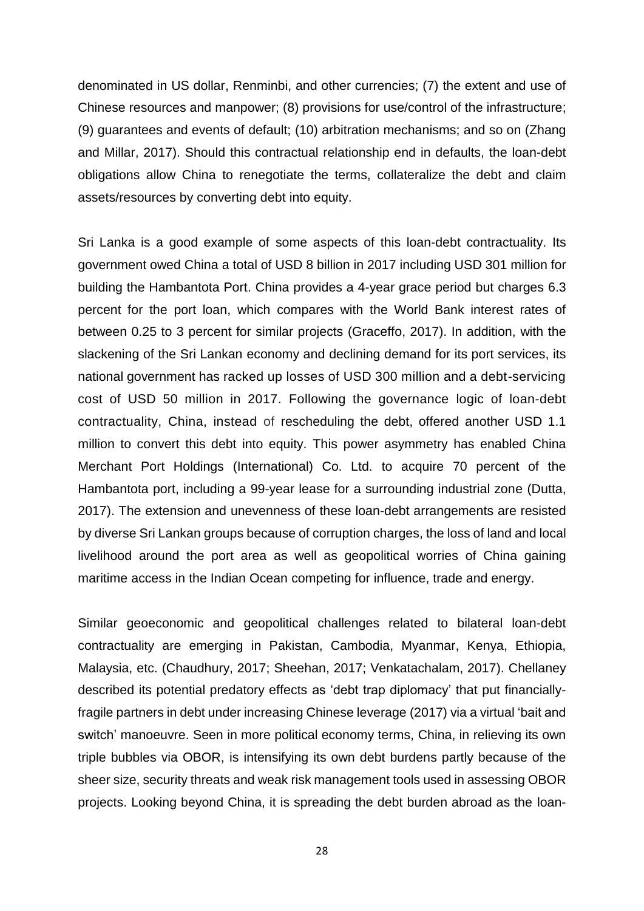denominated in US dollar, Renminbi, and other currencies; (7) the extent and use of Chinese resources and manpower; (8) provisions for use/control of the infrastructure; (9) guarantees and events of default; (10) arbitration mechanisms; and so on (Zhang and Millar, 2017). Should this contractual relationship end in defaults, the loan-debt obligations allow China to renegotiate the terms, collateralize the debt and claim assets/resources by converting debt into equity.

Sri Lanka is a good example of some aspects of this loan-debt contractuality. Its government owed China a total of USD 8 billion in 2017 including USD 301 million for building the Hambantota Port. China provides a 4-year grace period but charges 6.3 percent for the port loan, which compares with the World Bank interest rates of between 0.25 to 3 percent for similar projects (Graceffo, 2017). In addition, with the slackening of the Sri Lankan economy and declining demand for its port services, its national government has racked up losses of USD 300 million and a debt-servicing cost of USD 50 million in 2017. Following the governance logic of loan-debt contractuality, China, instead of rescheduling the debt, offered another USD 1.1 million to convert this debt into equity. This power asymmetry has enabled China Merchant Port Holdings (International) Co. Ltd. to acquire 70 percent of the Hambantota port, including a 99-year lease for a surrounding industrial zone (Dutta, 2017). The extension and unevenness of these loan-debt arrangements are resisted by diverse Sri Lankan groups because of corruption charges, the loss of land and local livelihood around the port area as well as geopolitical worries of China gaining maritime access in the Indian Ocean competing for influence, trade and energy.

Similar geoeconomic and geopolitical challenges related to bilateral loan-debt contractuality are emerging in Pakistan, Cambodia, Myanmar, Kenya, Ethiopia, Malaysia, etc. (Chaudhury, 2017; Sheehan, 2017; Venkatachalam, 2017). Chellaney described its potential predatory effects as 'debt trap diplomacy' that put financiallyfragile partners in debt under increasing Chinese leverage (2017) via a virtual 'bait and switch' manoeuvre. Seen in more political economy terms, China, in relieving its own triple bubbles via OBOR, is intensifying its own debt burdens partly because of the sheer size, security threats and weak risk management tools used in assessing OBOR projects. Looking beyond China, it is spreading the debt burden abroad as the loan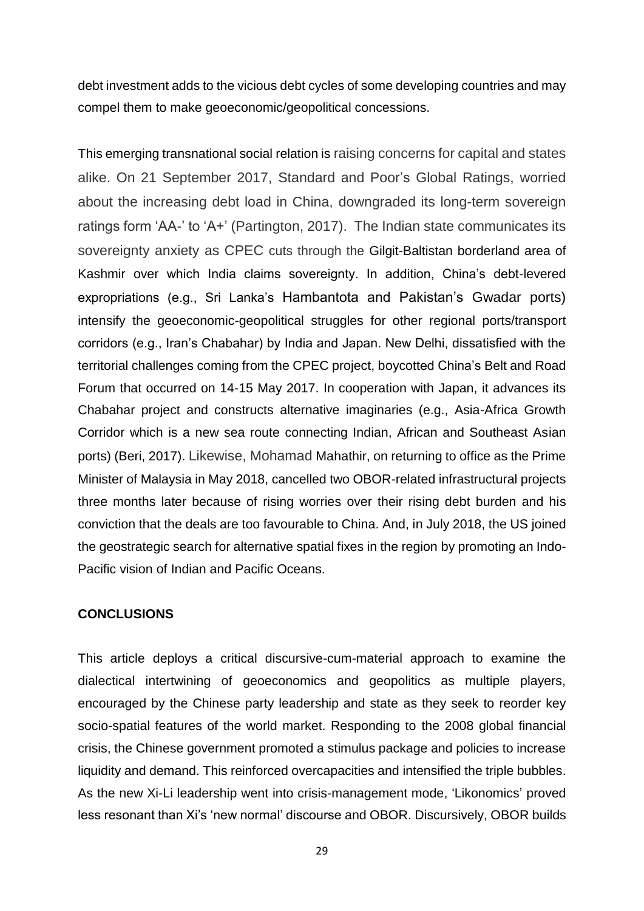debt investment adds to the vicious debt cycles of some developing countries and may compel them to make geoeconomic/geopolitical concessions.

This emerging transnational social relation is raising concerns for capital and states alike. On 21 September 2017, Standard and Poor's Global Ratings, worried about the increasing debt load in China, downgraded its long-term sovereign ratings form 'AA-' to 'A+' (Partington, 2017). The Indian state communicates its sovereignty anxiety as CPEC cuts through the Gilgit-Baltistan borderland area of Kashmir over which India claims sovereignty. In addition, China's debt-levered expropriations (e.g., Sri Lanka's Hambantota and Pakistan's Gwadar ports) intensify the geoeconomic-geopolitical struggles for other regional ports/transport corridors (e.g., Iran's Chabahar) by India and Japan. New Delhi, dissatisfied with the territorial challenges coming from the CPEC project, boycotted China's Belt and Road Forum that occurred on 14-15 May 2017. In cooperation with Japan, it advances its Chabahar project and constructs alternative imaginaries (e.g., Asia-Africa Growth Corridor which is a new sea route connecting Indian, African and Southeast Asian ports) (Beri, 2017). Likewise, Mohamad Mahathir, on returning to office as the Prime Minister of Malaysia in May 2018, cancelled two OBOR-related infrastructural projects three months later because of rising worries over their rising debt burden and his conviction that the deals are too favourable to China. And, in July 2018, the US joined the geostrategic search for alternative spatial fixes in the region by promoting an Indo-Pacific vision of Indian and Pacific Oceans.

### **CONCLUSIONS**

This article deploys a critical discursive-cum-material approach to examine the dialectical intertwining of geoeconomics and geopolitics as multiple players, encouraged by the Chinese party leadership and state as they seek to reorder key socio-spatial features of the world market. Responding to the 2008 global financial crisis, the Chinese government promoted a stimulus package and policies to increase liquidity and demand. This reinforced overcapacities and intensified the triple bubbles. As the new Xi-Li leadership went into crisis-management mode, 'Likonomics' proved less resonant than Xi's 'new normal' discourse and OBOR. Discursively, OBOR builds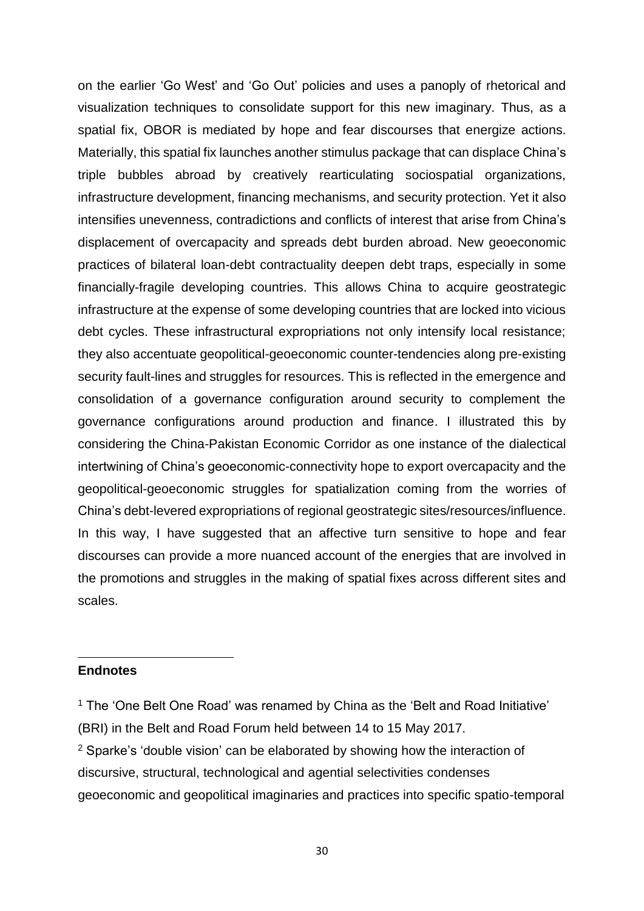on the earlier 'Go West' and 'Go Out' policies and uses a panoply of rhetorical and visualization techniques to consolidate support for this new imaginary. Thus, as a spatial fix, OBOR is mediated by hope and fear discourses that energize actions. Materially, this spatial fix launches another stimulus package that can displace China's triple bubbles abroad by creatively rearticulating sociospatial organizations, infrastructure development, financing mechanisms, and security protection. Yet it also intensifies unevenness, contradictions and conflicts of interest that arise from China's displacement of overcapacity and spreads debt burden abroad. New geoeconomic practices of bilateral loan-debt contractuality deepen debt traps, especially in some financially-fragile developing countries. This allows China to acquire geostrategic infrastructure at the expense of some developing countries that are locked into vicious debt cycles. These infrastructural expropriations not only intensify local resistance; they also accentuate geopolitical-geoeconomic counter-tendencies along pre-existing security fault-lines and struggles for resources. This is reflected in the emergence and consolidation of a governance configuration around security to complement the governance configurations around production and finance. I illustrated this by considering the China-Pakistan Economic Corridor as one instance of the dialectical intertwining of China's geoeconomic-connectivity hope to export overcapacity and the geopolitical-geoeconomic struggles for spatialization coming from the worries of China's debt-levered expropriations of regional geostrategic sites/resources/influence. In this way, I have suggested that an affective turn sensitive to hope and fear discourses can provide a more nuanced account of the energies that are involved in the promotions and struggles in the making of spatial fixes across different sites and scales.

### **Endnotes**

**.** 

<sup>1</sup> The 'One Belt One Road' was renamed by China as the 'Belt and Road Initiative' (BRI) in the Belt and Road Forum held between 14 to 15 May 2017. <sup>2</sup> Sparke's 'double vision' can be elaborated by showing how the interaction of discursive, structural, technological and agential selectivities condenses geoeconomic and geopolitical imaginaries and practices into specific spatio-temporal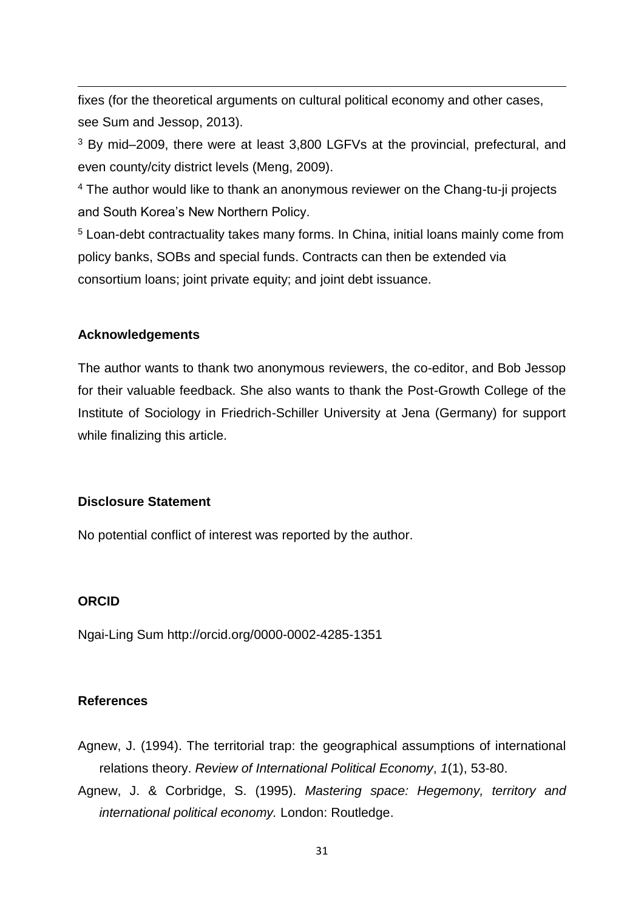fixes (for the theoretical arguments on cultural political economy and other cases, see Sum and Jessop, 2013).

<sup>3</sup> By mid–2009, there were at least 3,800 LGFVs at the provincial, prefectural, and even county/city district levels (Meng, 2009).

<sup>4</sup> The author would like to thank an anonymous reviewer on the Chang-tu-ji projects and South Korea's New Northern Policy.

<sup>5</sup> Loan-debt contractuality takes many forms. In China, initial loans mainly come from policy banks, SOBs and special funds. Contracts can then be extended via consortium loans; joint private equity; and joint debt issuance.

## **Acknowledgements**

**.** 

The author wants to thank two anonymous reviewers, the co-editor, and Bob Jessop for their valuable feedback. She also wants to thank the Post-Growth College of the Institute of Sociology in Friedrich-Schiller University at Jena (Germany) for support while finalizing this article.

# **Disclosure Statement**

No potential conflict of interest was reported by the author.

# **ORCID**

Ngai-Ling Sum http://orcid.org/0000-0002-4285-1351

### **References**

- Agnew, J. (1994). The territorial trap: the geographical assumptions of international relations theory. *Review of International Political Economy*, *1*(1), 53-80.
- Agnew, J. & Corbridge, S. (1995). *Mastering space: Hegemony, territory and international political economy.* London: Routledge.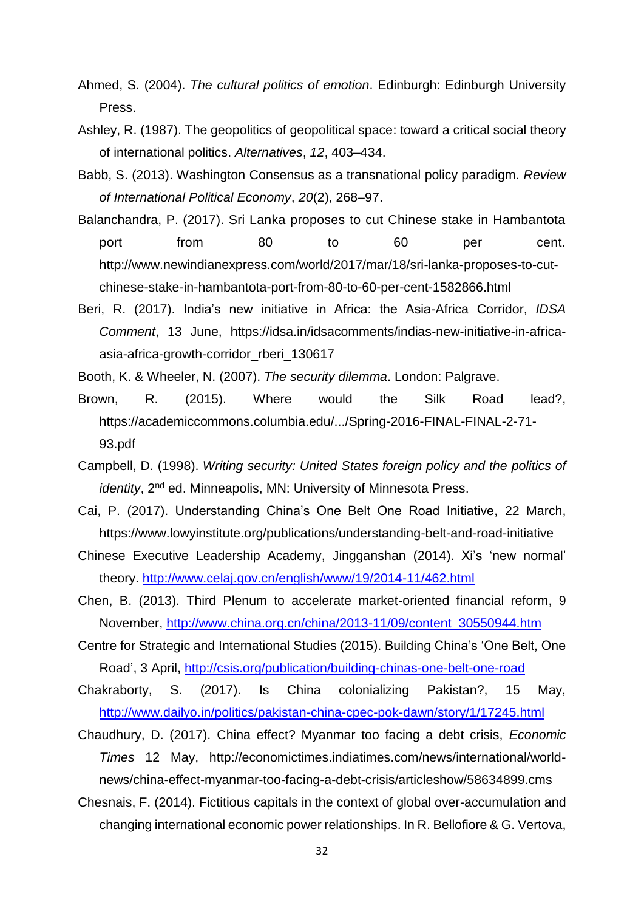- Ahmed, S. (2004). *The cultural politics of emotion*. Edinburgh: Edinburgh University Press.
- Ashley, R. (1987). The geopolitics of geopolitical space: toward a critical social theory of international politics. *Alternatives*, *12*, 403–434.
- Babb, S. (2013). Washington Consensus as a transnational policy paradigm. *Review of International Political Economy*, *20*(2), 268–97.
- Balanchandra, P. (2017). Sri Lanka proposes to cut Chinese stake in Hambantota port from 80 to 60 per cent. http://www.newindianexpress.com/world/2017/mar/18/sri-lanka-proposes-to-cutchinese-stake-in-hambantota-port-from-80-to-60-per-cent-1582866.html
- Beri, R. (2017). India's new initiative in Africa: the Asia-Africa Corridor, *IDSA Comment*, 13 June, https://idsa.in/idsacomments/indias-new-initiative-in-africaasia-africa-growth-corridor\_rberi\_130617
- Booth, K. & Wheeler, N. (2007). *The security dilemma*. London: Palgrave.
- Brown, R. (2015). Where would the Silk Road lead?, https://academiccommons.columbia.edu/.../Spring-2016-FINAL-FINAL-2-71- 93.pdf
- Campbell, D. (1998). *Writing security: United States foreign policy and the politics of identity*, 2<sup>nd</sup> ed. Minneapolis, MN: University of Minnesota Press.
- Cai, P. (2017). Understanding China's One Belt One Road Initiative, 22 March, https://www.lowyinstitute.org/publications/understanding-belt-and-road-initiative
- Chinese Executive Leadership Academy, Jingganshan (2014). Xi's 'new normal' theory.<http://www.celaj.gov.cn/english/www/19/2014-11/462.html>
- Chen, B. (2013). Third Plenum to accelerate market-oriented financial reform, 9 November, [http://www.china.org.cn/china/2013-11/09/content\\_30550944.htm](http://www.china.org.cn/china/2013-11/09/content_30550944.htm)
- Centre for Strategic and International Studies (2015). Building China's 'One Belt, One Road', 3 April,<http://csis.org/publication/building-chinas-one-belt-one-road>
- Chakraborty, S. (2017). Is China colonializing Pakistan?, 15 May, <http://www.dailyo.in/politics/pakistan-china-cpec-pok-dawn/story/1/17245.html>
- Chaudhury, D. (2017). China effect? Myanmar too facing a debt crisis, *Economic Times* 12 May, http://economictimes.indiatimes.com/news/international/worldnews/china-effect-myanmar-too-facing-a-debt-crisis/articleshow/58634899.cms
- Chesnais, F. (2014). Fictitious capitals in the context of global over-accumulation and changing international economic power relationships. In R. Bellofiore & G. Vertova,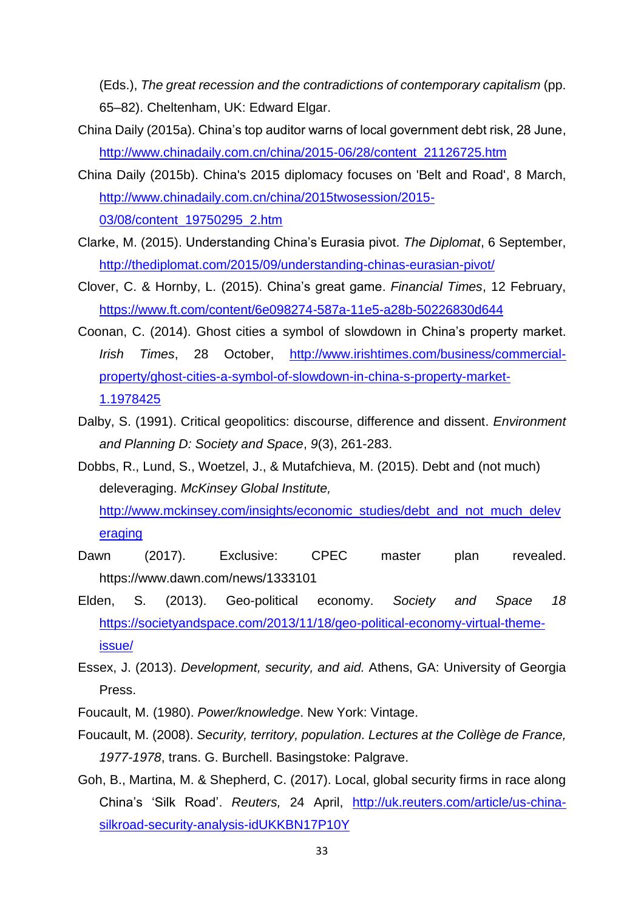(Eds.), *The great recession and the contradictions of contemporary capitalism* (pp. 65–82). Cheltenham, UK: Edward Elgar.

- China Daily (2015a). China's top auditor warns of local government debt risk, 28 June, [http://www.chinadaily.com.cn/china/2015-06/28/content\\_21126725.htm](http://www.chinadaily.com.cn/china/2015-06/28/content_21126725.htm)
- China Daily (2015b). China's 2015 diplomacy focuses on 'Belt and Road', 8 March, [http://www.chinadaily.com.cn/china/2015twosession/2015-](http://www.chinadaily.com.cn/china/2015twosession/2015-03/08/content_19750295_2.htm) [03/08/content\\_19750295\\_2.htm](http://www.chinadaily.com.cn/china/2015twosession/2015-03/08/content_19750295_2.htm)
- Clarke, M. (2015). Understanding China's Eurasia pivot. *The Diplomat*, 6 September, <http://thediplomat.com/2015/09/understanding-chinas-eurasian-pivot/>
- Clover, C. & Hornby, L. (2015). China's great game. *Financial Times*, 12 February, <https://www.ft.com/content/6e098274-587a-11e5-a28b-50226830d644>
- Coonan, C. (2014). Ghost cities a symbol of slowdown in China's property market. *Irish Times*, 28 October, [http://www.irishtimes.com/business/commercial](http://www.irishtimes.com/business/commercial-property/ghost-cities-a-symbol-of-slowdown-in-china-s-property-market-1.1978425)[property/ghost-cities-a-symbol-of-slowdown-in-china-s-property-market-](http://www.irishtimes.com/business/commercial-property/ghost-cities-a-symbol-of-slowdown-in-china-s-property-market-1.1978425)[1.1978425](http://www.irishtimes.com/business/commercial-property/ghost-cities-a-symbol-of-slowdown-in-china-s-property-market-1.1978425)
- Dalby, S. (1991). Critical geopolitics: discourse, difference and dissent. *Environment and Planning D: Society and Space*, *9*(3), 261-283.
- Dobbs, R., Lund, S., Woetzel, J., & Mutafchieva, M. (2015). Debt and (not much) deleveraging. *McKinsey Global Institute,*

[http://www.mckinsey.com/insights/economic\\_studies/debt\\_and\\_not\\_much\\_delev](http://www.mckinsey.com/insights/economic_studies/debt_and_not_much_deleveraging) [eraging](http://www.mckinsey.com/insights/economic_studies/debt_and_not_much_deleveraging)

- Dawn (2017). Exclusive: CPEC master plan revealed. https://www.dawn.com/news/1333101
- Elden, S. (2013). Geo-political economy. *Society and Space 18*  [https://societyandspace.com/2013/11/18/geo-political-economy-virtual-theme](https://societyandspace.com/2013/11/18/geo-political-economy-virtual-theme-issue/)[issue/](https://societyandspace.com/2013/11/18/geo-political-economy-virtual-theme-issue/)
- Essex, J. (2013). *Development, security, and aid.* Athens, GA: University of Georgia Press.
- Foucault, M. (1980). *Power/knowledge*. New York: Vintage.
- Foucault, M. (2008). *Security, territory, population. Lectures at the Collège de France, 1977-1978*, trans. G. Burchell. Basingstoke: Palgrave.
- Goh, B., Martina, M. & Shepherd, C. (2017). Local, global security firms in race along China's 'Silk Road'. *Reuters,* 24 April, [http://uk.reuters.com/article/us-china](http://uk.reuters.com/article/us-china-silkroad-security-analysis-idUKKBN17P10Y)[silkroad-security-analysis-idUKKBN17P10Y](http://uk.reuters.com/article/us-china-silkroad-security-analysis-idUKKBN17P10Y)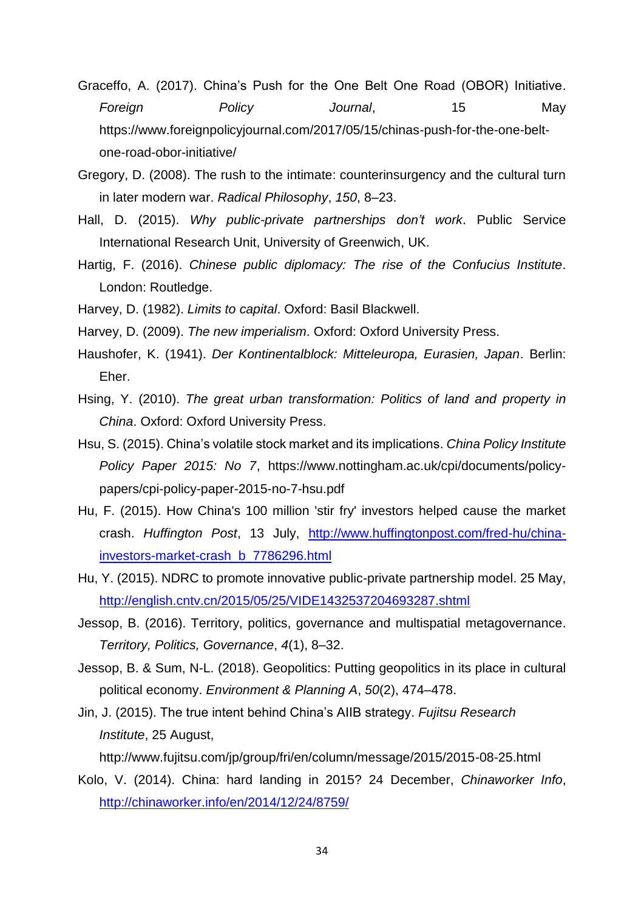- Graceffo, A. (2017). China's Push for the One Belt One Road (OBOR) Initiative. *Foreign Policy Journal*, 15 May https://www.foreignpolicyjournal.com/2017/05/15/chinas-push-for-the-one-beltone-road-obor-initiative/
- Gregory, D. (2008). The rush to the intimate: counterinsurgency and the cultural turn in later modern war. *Radical Philosophy*, *150*, 8–23.
- Hall, D. (2015). *Why public-private partnerships don't work*. Public Service International Research Unit, University of Greenwich, UK.
- Hartig, F. (2016). *Chinese public diplomacy: The rise of the Confucius Institute*. London: Routledge.
- Harvey, D. (1982). *Limits to capital*. Oxford: Basil Blackwell.
- Harvey, D. (2009). *The new imperialism*. Oxford: Oxford University Press.
- Haushofer, K. (1941). *Der Kontinentalblock: Mitteleuropa, Eurasien, Japan*. Berlin: Eher.
- Hsing, Y. (2010). *The great urban transformation: Politics of land and property in China*. Oxford: Oxford University Press.
- Hsu, S. (2015). China's volatile stock market and its implications. *China Policy Institute Policy Paper 2015: No 7*, https://www.nottingham.ac.uk/cpi/documents/policypapers/cpi-policy-paper-2015-no-7-hsu.pdf
- Hu, F. (2015). How China's 100 million 'stir fry' investors helped cause the market crash. *Huffington Post*, 13 July, [http://www.huffingtonpost.com/fred-hu/china](http://www.huffingtonpost.com/fred-hu/china-investors-market-crash_b_7786296.html)[investors-market-crash\\_b\\_7786296.html](http://www.huffingtonpost.com/fred-hu/china-investors-market-crash_b_7786296.html)
- Hu, Y. (2015). NDRC to promote innovative public-private partnership model. 25 May, <http://english.cntv.cn/2015/05/25/VIDE1432537204693287.shtml>
- Jessop, B. (2016). Territory, politics, governance and multispatial metagovernance. *Territory, Politics, Governance*, *4*(1), 8–32.
- Jessop, B. & Sum, N-L. (2018). Geopolitics: Putting geopolitics in its place in cultural political economy. *Environment & Planning A*, *50*(2), 474–478.
- Jin, J. (2015). The true intent behind China's AIIB strategy. *Fujitsu Research Institute*, 25 August,

http://www.fujitsu.com/jp/group/fri/en/column/message/2015/2015-08-25.html

Kolo, V. (2014). China: hard landing in 2015? 24 December, *Chinaworker Info*, <http://chinaworker.info/en/2014/12/24/8759/>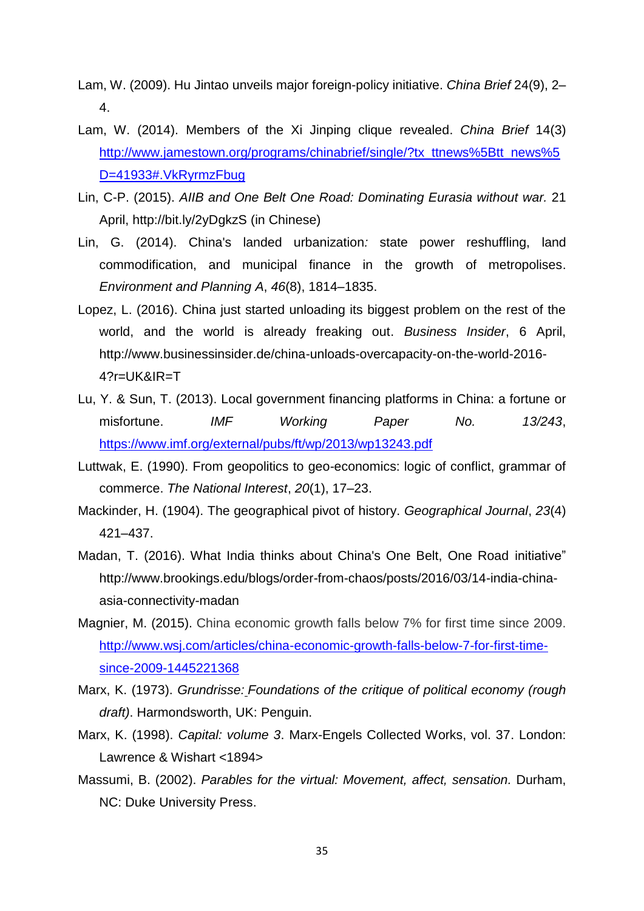- Lam, W. (2009). Hu Jintao unveils major foreign-policy initiative. *China Brief* 24(9), 2– 4.
- Lam, W. (2014). Members of the Xi Jinping clique revealed. *China Brief* 14(3) [http://www.jamestown.org/programs/chinabrief/single/?tx\\_ttnews%5Btt\\_news%5](http://www.jamestown.org/programs/chinabrief/single/?tx_ttnews%5Btt_news%5D=41933#.VkRyrmzFbug) [D=41933#.VkRyrmzFbug](http://www.jamestown.org/programs/chinabrief/single/?tx_ttnews%5Btt_news%5D=41933#.VkRyrmzFbug)
- Lin, C-P. (2015). *AIIB and One Belt One Road: Dominating Eurasia without war.* 21 April, http://bit.ly/2yDgkzS (in Chinese)
- Lin, G. (2014). China's landed urbanization*:* state power reshuffling, land commodification, and municipal finance in the growth of metropolises. *Environment and Planning A*, *46*(8), 1814–1835.
- Lopez, L. (2016). China just started unloading its biggest problem on the rest of the world, and the world is already freaking out. *Business Insider*, 6 April, http://www.businessinsider.de/china-unloads-overcapacity-on-the-world-2016- 4?r=UK&IR=T
- Lu, Y. & Sun, T. (2013). Local government financing platforms in China: a fortune or misfortune. *IMF Working Paper No. 13/243*, <https://www.imf.org/external/pubs/ft/wp/2013/wp13243.pdf>
- Luttwak, E. (1990). From geopolitics to geo-economics: logic of conflict, grammar of commerce. *The National Interest*, *20*(1), 17–23.
- Mackinder, H. (1904). The geographical pivot of history. *Geographical Journal*, *23*(4) 421–437.
- Madan, T. (2016). What India thinks about China's One Belt, One Road initiative" http://www.brookings.edu/blogs/order-from-chaos/posts/2016/03/14-india-chinaasia-connectivity-madan
- Magnier, M. (2015). China economic growth falls below 7% for first time since 2009. [http://www.wsj.com/articles/china-economic-growth-falls-below-7-for-first-time](http://www.wsj.com/articles/china-economic-growth-falls-below-7-for-first-time-since-2009-1445221368)[since-2009-1445221368](http://www.wsj.com/articles/china-economic-growth-falls-below-7-for-first-time-since-2009-1445221368)
- Marx, K. (1973). *Grundrisse: Foundations of the critique of political economy (rough draft)*. Harmondsworth, UK: Penguin.
- Marx, K. (1998). *Capital: volume 3*. Marx-Engels Collected Works, vol. 37. London: Lawrence & Wishart <1894>
- Massumi, B. (2002). *Parables for the virtual: Movement, affect, sensation.* Durham, NC: Duke University Press.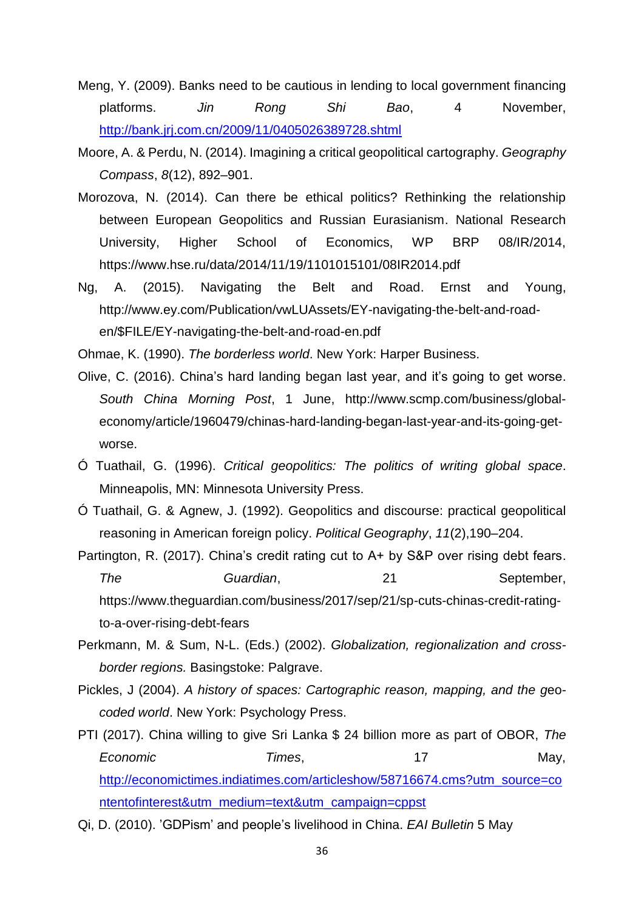- Meng, Y. (2009). Banks need to be cautious in lending to local government financing platforms. *Jin Rong Shi Bao*, 4 November, <http://bank.jrj.com.cn/2009/11/0405026389728.shtml>
- Moore, A. & Perdu, N. (2014). Imagining a critical geopolitical cartography. *Geography Compass*, *8*(12), 892–901.
- Morozova, N. (2014). Can there be ethical politics? Rethinking the relationship between European Geopolitics and Russian Eurasianism. National Research University, Higher School of Economics, WP BRP 08/IR/2014, https://www.hse.ru/data/2014/11/19/1101015101/08IR2014.pdf
- Ng, A. (2015). Navigating the Belt and Road. Ernst and Young, http://www.ey.com/Publication/vwLUAssets/EY-navigating-the-belt-and-roaden/\$FILE/EY-navigating-the-belt-and-road-en.pdf

Ohmae, K. (1990). *The borderless world*. New York: Harper Business.

- Olive, C. (2016). China's hard landing began last year, and it's going to get worse. *South China Morning Post*, 1 June, http://www.scmp.com/business/globaleconomy/article/1960479/chinas-hard-landing-began-last-year-and-its-going-getworse.
- Ó Tuathail, G. (1996). *Critical geopolitics: The politics of writing global space*. Minneapolis, MN: Minnesota University Press.
- Ó Tuathail, G. & Agnew, J. (1992). Geopolitics and discourse: practical geopolitical reasoning in American foreign policy. *Political Geography*, *11*(2),190–204.
- Partington, R. (2017). China's credit rating cut to A+ by S&P over rising debt fears. *The Guardian*, 21 September, https://www.theguardian.com/business/2017/sep/21/sp-cuts-chinas-credit-ratingto-a-over-rising-debt-fears
- Perkmann, M. & Sum, N-L. (Eds.) (2002). *Globalization, regionalization and crossborder regions.* Basingstoke: Palgrave.
- Pickles, J (2004). *A history of spaces: Cartographic reason, mapping, and the g*eo*coded world*. New York: Psychology Press.
- PTI (2017). China willing to give Sri Lanka \$ 24 billion more as part of OBOR, *The Economic Times*, 17 May, [http://economictimes.indiatimes.com/articleshow/58716674.cms?utm\\_source=co](http://economictimes.indiatimes.com/articleshow/58716674.cms?utm_source=contentofinterest&utm_medium=text&utm_campaign=cppst) [ntentofinterest&utm\\_medium=text&utm\\_campaign=cppst](http://economictimes.indiatimes.com/articleshow/58716674.cms?utm_source=contentofinterest&utm_medium=text&utm_campaign=cppst)
- Qi, D. (2010). 'GDPism' and people's livelihood in China. *EAI Bulletin* 5 May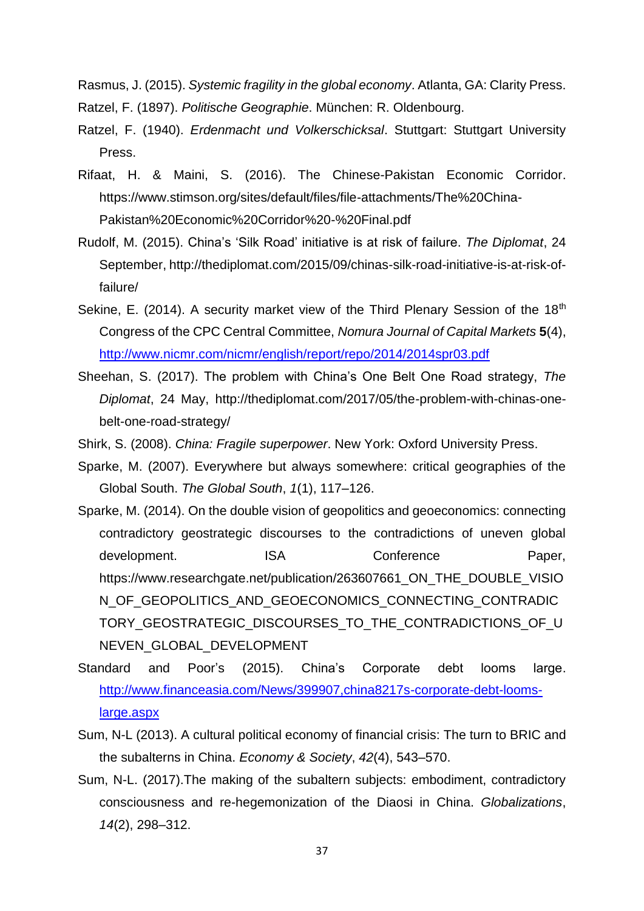Rasmus, J. (2015). *Systemic fragility in the global economy*. Atlanta, GA: Clarity Press. Ratzel, F. (1897). *Politische Geographie*. München: R. Oldenbourg.

Ratzel, F. (1940). *Erdenmacht und Volkerschicksal*. Stuttgart: Stuttgart University Press.

- Rifaat, H. & Maini, S. (2016). The Chinese-Pakistan Economic Corridor. https://www.stimson.org/sites/default/files/file-attachments/The%20China-Pakistan%20Economic%20Corridor%20-%20Final.pdf
- Rudolf, M. (2015). China's 'Silk Road' initiative is at risk of failure. *The Diplomat*, 24 September, http://thediplomat.com/2015/09/chinas-silk-road-initiative-is-at-risk-offailure/
- Sekine, E. (2014). A security market view of the Third Plenary Session of the  $18<sup>th</sup>$ Congress of the CPC Central Committee, *Nomura Journal of Capital Markets* **5**(4), <http://www.nicmr.com/nicmr/english/report/repo/2014/2014spr03.pdf>
- Sheehan, S. (2017). The problem with China's One Belt One Road strategy, *The Diplomat*, 24 May, http://thediplomat.com/2017/05/the-problem-with-chinas-onebelt-one-road-strategy/

Shirk, S. (2008). *China: Fragile superpower*. New York: Oxford University Press.

- Sparke, M. (2007). Everywhere but always somewhere: critical geographies of the Global South. *The Global South*, *1*(1), 117–126.
- Sparke, M. (2014). On the double vision of geopolitics and geoeconomics: connecting contradictory geostrategic discourses to the contradictions of uneven global development. ISA Conference Paper, https://www.researchgate.net/publication/263607661\_ON\_THE\_DOUBLE\_VISIO N\_OF\_GEOPOLITICS\_AND\_GEOECONOMICS\_CONNECTING\_CONTRADIC TORY GEOSTRATEGIC DISCOURSES TO THE CONTRADICTIONS OF U NEVEN\_GLOBAL\_DEVELOPMENT
- Standard and Poor's (2015). China's Corporate debt looms large. [http://www.financeasia.com/News/399907,china8217s-corporate-debt-looms](http://www.financeasia.com/News/399907,china8217s-corporate-debt-looms-large.aspx)[large.aspx](http://www.financeasia.com/News/399907,china8217s-corporate-debt-looms-large.aspx)
- Sum, N-L (2013). A cultural political economy of financial crisis: The turn to BRIC and the subalterns in China. *Economy & Society*, *42*(4), 543–570.
- Sum, N-L. (2017).The making of the subaltern subjects: embodiment, contradictory consciousness and re-hegemonization of the Diaosi in China. *Globalizations*, *14*(2), 298–312.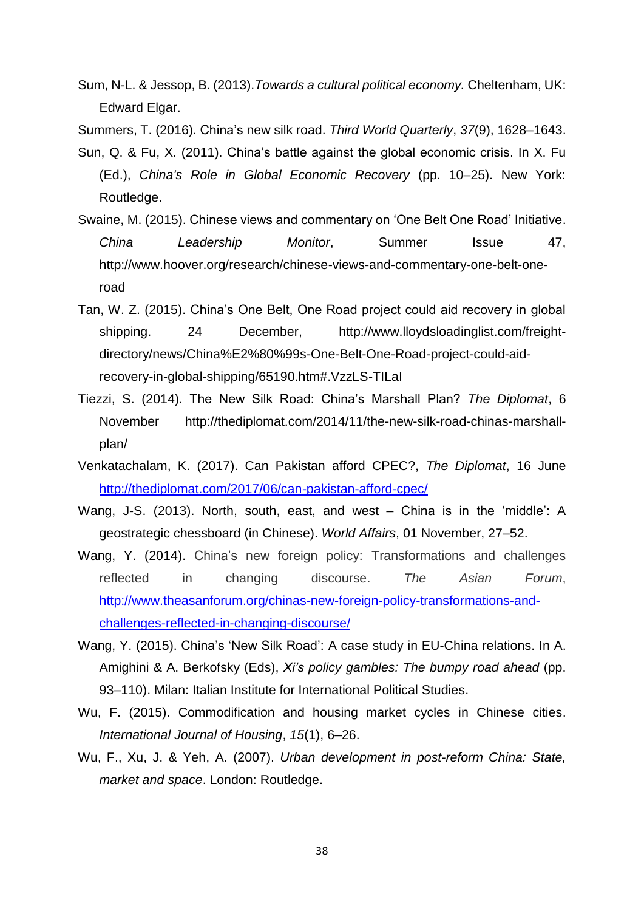- Sum, N-L. & Jessop, B. (2013).*Towards a cultural political economy.* Cheltenham, UK: Edward Elgar.
- Summers, T. (2016). China's new silk road. *Third World Quarterly*, *37*(9), 1628–1643.
- Sun, Q. & Fu, X. (2011). China's battle against the global economic crisis. In X. Fu (Ed.), *China's Role in Global Economic Recovery* (pp. 10–25). New York: Routledge.
- Swaine, M. (2015). Chinese views and commentary on 'One Belt One Road' Initiative. *China Leadership Monitor*, Summer Issue 47, http://www.hoover.org/research/chinese-views-and-commentary-one-belt-oneroad
- Tan, W. Z. (2015). China's One Belt, One Road project could aid recovery in global shipping. 24 December, http://www.lloydsloadinglist.com/freightdirectory/news/China%E2%80%99s-One-Belt-One-Road-project-could-aidrecovery-in-global-shipping/65190.htm#.VzzLS-TILaI
- Tiezzi, S. (2014). The New Silk Road: China's Marshall Plan? *The Diplomat*, 6 November http://thediplomat.com/2014/11/the-new-silk-road-chinas-marshallplan/
- Venkatachalam, K. (2017). Can Pakistan afford CPEC?, *The Diplomat*, 16 June <http://thediplomat.com/2017/06/can-pakistan-afford-cpec/>
- Wang, J-S. (2013). North, south, east, and west China is in the 'middle': A geostrategic chessboard (in Chinese). *World Affairs*, 01 November, 27–52.
- Wang, Y. (2014). China's new foreign policy: Transformations and challenges reflected in changing discourse. *The Asian Forum*, [http://www.theasanforum.org/chinas-new-foreign-policy-transformations-and](http://www.theasanforum.org/chinas-new-foreign-policy-transformations-and-challenges-reflected-in-changing-discourse/)[challenges-reflected-in-changing-discourse/](http://www.theasanforum.org/chinas-new-foreign-policy-transformations-and-challenges-reflected-in-changing-discourse/)
- Wang, Y. (2015). China's 'New Silk Road': A case study in EU-China relations. In A. Amighini & A. Berkofsky (Eds), *Xi's policy gambles: The bumpy road ahead* (pp. 93–110). Milan: Italian Institute for International Political Studies.
- Wu, F. (2015). Commodification and housing market cycles in Chinese cities. *International Journal of Housing*, *15*(1), 6–26.
- Wu, F., Xu, J. & Yeh, A. (2007). *Urban development in post-reform China: State, market and space*. London: Routledge.